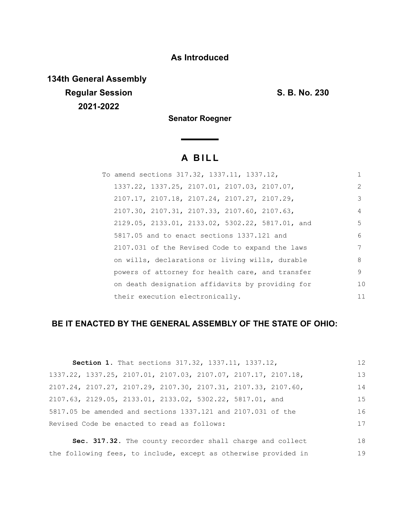## **As Introduced**

**134th General Assembly Regular Session S. B. No. 230 2021-2022**

**Senator Roegner**

# **A B I L L**

| To amend sections 317.32, 1337.11, 1337.12,      | 1             |
|--------------------------------------------------|---------------|
| 1337.22, 1337.25, 2107.01, 2107.03, 2107.07,     | $\mathcal{L}$ |
| 2107.17, 2107.18, 2107.24, 2107.27, 2107.29,     | 3             |
| 2107.30, 2107.31, 2107.33, 2107.60, 2107.63,     | 4             |
| 2129.05, 2133.01, 2133.02, 5302.22, 5817.01, and | 5             |
| 5817.05 and to enact sections 1337.121 and       | 6             |
| 2107.031 of the Revised Code to expand the laws  | 7             |
| on wills, declarations or living wills, durable  | 8             |
| powers of attorney for health care, and transfer | 9             |
| on death designation affidavits by providing for | 1 O           |
| their execution electronically.                  | 11            |

## **BE IT ENACTED BY THE GENERAL ASSEMBLY OF THE STATE OF OHIO:**

|                                             | Section 1. That sections 317.32, 1337.11, 1337.12,                                  | 12  |  |
|---------------------------------------------|-------------------------------------------------------------------------------------|-----|--|
|                                             | 1337.22, 1337.25, 2107.01, 2107.03, 2107.07, 2107.17, 2107.18,                      | 13  |  |
|                                             | $2107.24$ , $2107.27$ , $2107.29$ , $2107.30$ , $2107.31$ , $2107.33$ , $2107.60$ , | 14  |  |
|                                             | 2107.63, 2129.05, 2133.01, 2133.02, 5302.22, 5817.01, and                           | 1.5 |  |
|                                             | 5817.05 be amended and sections 1337.121 and 2107.031 of the                        | 16  |  |
| Revised Code be enacted to read as follows: |                                                                                     | 17  |  |

**Sec. 317.32.** The county recorder shall charge and collect the following fees, to include, except as otherwise provided in 18 19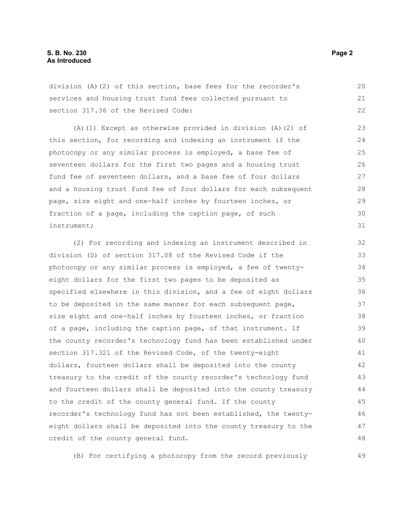division (A)(2) of this section, base fees for the recorder's services and housing trust fund fees collected pursuant to section 317.36 of the Revised Code: 20 21 22

(A)(1) Except as otherwise provided in division (A)(2) of this section, for recording and indexing an instrument if the photocopy or any similar process is employed, a base fee of seventeen dollars for the first two pages and a housing trust fund fee of seventeen dollars, and a base fee of four dollars and a housing trust fund fee of four dollars for each subsequent page, size eight and one-half inches by fourteen inches, or fraction of a page, including the caption page, of such instrument; 23 24 25 26 27 28 29 30 31

(2) For recording and indexing an instrument described in division (D) of section 317.08 of the Revised Code if the photocopy or any similar process is employed, a fee of twentyeight dollars for the first two pages to be deposited as specified elsewhere in this division, and a fee of eight dollars to be deposited in the same manner for each subsequent page, size eight and one-half inches by fourteen inches, or fraction of a page, including the caption page, of that instrument. If the county recorder's technology fund has been established under section 317.321 of the Revised Code, of the twenty-eight dollars, fourteen dollars shall be deposited into the county treasury to the credit of the county recorder's technology fund and fourteen dollars shall be deposited into the county treasury to the credit of the county general fund. If the county recorder's technology fund has not been established, the twentyeight dollars shall be deposited into the county treasury to the credit of the county general fund. 32 33 34 35 36 37 38 39  $40$ 41 42 43 44 45 46 47 48

(B) For certifying a photocopy from the record previously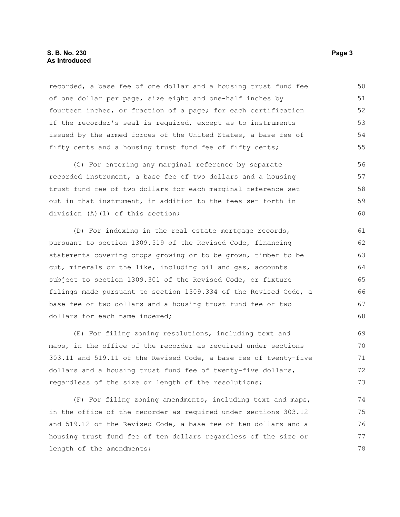#### **S. B. No. 230** Page 3 **As Introduced**

recorded, a base fee of one dollar and a housing trust fund fee of one dollar per page, size eight and one-half inches by fourteen inches, or fraction of a page; for each certification if the recorder's seal is required, except as to instruments issued by the armed forces of the United States, a base fee of fifty cents and a housing trust fund fee of fifty cents; 50 51 52 53 54 55

(C) For entering any marginal reference by separate recorded instrument, a base fee of two dollars and a housing trust fund fee of two dollars for each marginal reference set out in that instrument, in addition to the fees set forth in division (A)(1) of this section; 56 57 58 59 60

(D) For indexing in the real estate mortgage records, pursuant to section 1309.519 of the Revised Code, financing statements covering crops growing or to be grown, timber to be cut, minerals or the like, including oil and gas, accounts subject to section 1309.301 of the Revised Code, or fixture filings made pursuant to section 1309.334 of the Revised Code, a base fee of two dollars and a housing trust fund fee of two dollars for each name indexed;

(E) For filing zoning resolutions, including text and maps, in the office of the recorder as required under sections 303.11 and 519.11 of the Revised Code, a base fee of twenty-five dollars and a housing trust fund fee of twenty-five dollars, regardless of the size or length of the resolutions; 69 70 71 72 73

(F) For filing zoning amendments, including text and maps, in the office of the recorder as required under sections 303.12 and 519.12 of the Revised Code, a base fee of ten dollars and a housing trust fund fee of ten dollars regardless of the size or length of the amendments; 74 75 76 77 78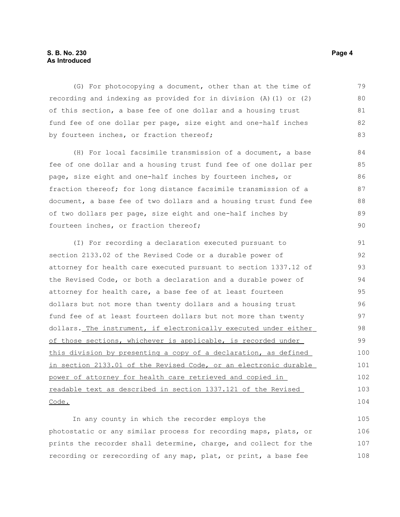#### **S. B. No. 230 Page 4 As Introduced**

(G) For photocopying a document, other than at the time of recording and indexing as provided for in division (A)(1) or (2) of this section, a base fee of one dollar and a housing trust fund fee of one dollar per page, size eight and one-half inches by fourteen inches, or fraction thereof; 79 80 81 82 83

(H) For local facsimile transmission of a document, a base fee of one dollar and a housing trust fund fee of one dollar per page, size eight and one-half inches by fourteen inches, or fraction thereof; for long distance facsimile transmission of a document, a base fee of two dollars and a housing trust fund fee of two dollars per page, size eight and one-half inches by fourteen inches, or fraction thereof;

(I) For recording a declaration executed pursuant to section 2133.02 of the Revised Code or a durable power of attorney for health care executed pursuant to section 1337.12 of the Revised Code, or both a declaration and a durable power of attorney for health care, a base fee of at least fourteen dollars but not more than twenty dollars and a housing trust fund fee of at least fourteen dollars but not more than twenty dollars. The instrument, if electronically executed under either of those sections, whichever is applicable, is recorded under this division by presenting a copy of a declaration, as defined in section 2133.01 of the Revised Code, or an electronic durable power of attorney for health care retrieved and copied in readable text as described in section 1337.121 of the Revised Code. 91 92 93 94 95 96 97 98 99 100 101 102 103 104

In any county in which the recorder employs the photostatic or any similar process for recording maps, plats, or prints the recorder shall determine, charge, and collect for the recording or rerecording of any map, plat, or print, a base fee 105 106 107 108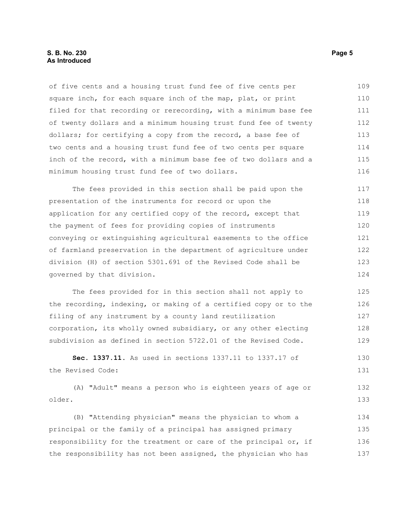#### **S. B. No. 230 Page 5 As Introduced**

of five cents and a housing trust fund fee of five cents per square inch, for each square inch of the map, plat, or print filed for that recording or rerecording, with a minimum base fee of twenty dollars and a minimum housing trust fund fee of twenty dollars; for certifying a copy from the record, a base fee of two cents and a housing trust fund fee of two cents per square inch of the record, with a minimum base fee of two dollars and a minimum housing trust fund fee of two dollars. 109 110 111 112 113 114 115 116

The fees provided in this section shall be paid upon the presentation of the instruments for record or upon the application for any certified copy of the record, except that the payment of fees for providing copies of instruments conveying or extinguishing agricultural easements to the office of farmland preservation in the department of agriculture under division (H) of section 5301.691 of the Revised Code shall be governed by that division. 117 118 119 120 121 122 123 124

The fees provided for in this section shall not apply to the recording, indexing, or making of a certified copy or to the filing of any instrument by a county land reutilization corporation, its wholly owned subsidiary, or any other electing subdivision as defined in section 5722.01 of the Revised Code. 125 126 127 128 129

**Sec. 1337.11.** As used in sections 1337.11 to 1337.17 of the Revised Code: 130 131

(A) "Adult" means a person who is eighteen years of age or older. 132 133

(B) "Attending physician" means the physician to whom a principal or the family of a principal has assigned primary responsibility for the treatment or care of the principal or, if the responsibility has not been assigned, the physician who has 134 135 136 137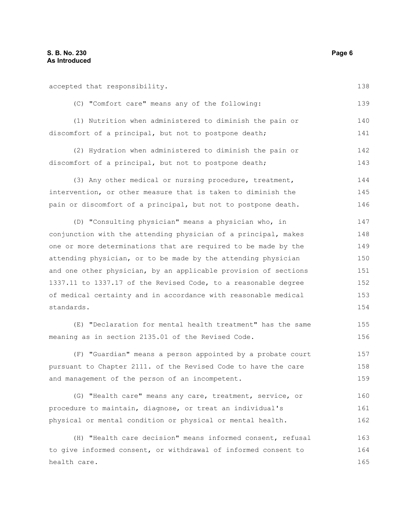accepted that responsibility. (C) "Comfort care" means any of the following: (1) Nutrition when administered to diminish the pain or discomfort of a principal, but not to postpone death; (2) Hydration when administered to diminish the pain or 138 139 140 141

discomfort of a principal, but not to postpone death; 142 143

(3) Any other medical or nursing procedure, treatment, intervention, or other measure that is taken to diminish the pain or discomfort of a principal, but not to postpone death. 144 145 146

(D) "Consulting physician" means a physician who, in conjunction with the attending physician of a principal, makes one or more determinations that are required to be made by the attending physician, or to be made by the attending physician and one other physician, by an applicable provision of sections 1337.11 to 1337.17 of the Revised Code, to a reasonable degree of medical certainty and in accordance with reasonable medical standards. 147 148 149 150 151 152 153 154

(E) "Declaration for mental health treatment" has the same meaning as in section 2135.01 of the Revised Code.

(F) "Guardian" means a person appointed by a probate court pursuant to Chapter 2111. of the Revised Code to have the care and management of the person of an incompetent. 157 158 159

(G) "Health care" means any care, treatment, service, or procedure to maintain, diagnose, or treat an individual's physical or mental condition or physical or mental health. 160 161 162

(H) "Health care decision" means informed consent, refusal to give informed consent, or withdrawal of informed consent to health care. 163 164 165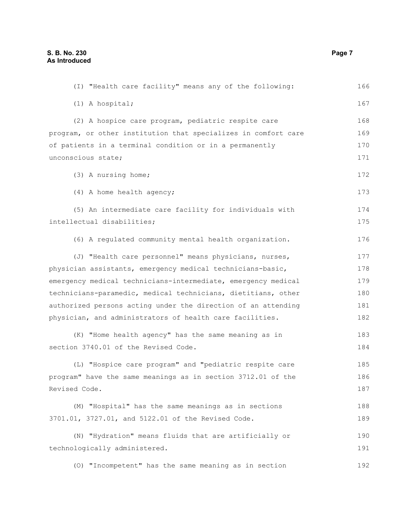(I) "Health care facility" means any of the following: (1) A hospital; (2) A hospice care program, pediatric respite care program, or other institution that specializes in comfort care of patients in a terminal condition or in a permanently unconscious state; (3) A nursing home; (4) A home health agency; (5) An intermediate care facility for individuals with intellectual disabilities; (6) A regulated community mental health organization. (J) "Health care personnel" means physicians, nurses, physician assistants, emergency medical technicians-basic, emergency medical technicians-intermediate, emergency medical technicians-paramedic, medical technicians, dietitians, other authorized persons acting under the direction of an attending physician, and administrators of health care facilities. (K) "Home health agency" has the same meaning as in section 3740.01 of the Revised Code. (L) "Hospice care program" and "pediatric respite care program" have the same meanings as in section 3712.01 of the Revised Code. (M) "Hospital" has the same meanings as in sections 3701.01, 3727.01, and 5122.01 of the Revised Code. (N) "Hydration" means fluids that are artificially or technologically administered. (O) "Incompetent" has the same meaning as in section 166 167 168 169 170 171 172 173 174 175 176 177 178 179 180 181 182 183 184 185 186 187 188 189 190 191 192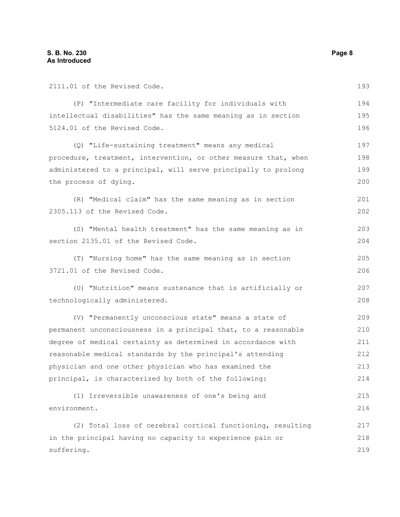| 2111.01 of the Revised Code.                                    | 193 |
|-----------------------------------------------------------------|-----|
| (P) "Intermediate care facility for individuals with            | 194 |
| intellectual disabilities" has the same meaning as in section   | 195 |
| 5124.01 of the Revised Code.                                    | 196 |
| (Q) "Life-sustaining treatment" means any medical               | 197 |
| procedure, treatment, intervention, or other measure that, when | 198 |
| administered to a principal, will serve principally to prolong  | 199 |
| the process of dying.                                           | 200 |
| (R) "Medical claim" has the same meaning as in section          | 201 |
| 2305.113 of the Revised Code.                                   | 202 |
| (S) "Mental health treatment" has the same meaning as in        | 203 |
| section 2135.01 of the Revised Code.                            | 204 |
| (T) "Nursing home" has the same meaning as in section           | 205 |
| 3721.01 of the Revised Code.                                    | 206 |
| (U) "Nutrition" means sustenance that is artificially or        | 207 |
| technologically administered.                                   | 208 |
| (V) "Permanently unconscious state" means a state of            | 209 |
| permanent unconsciousness in a principal that, to a reasonable  | 210 |
| degree of medical certainty as determined in accordance with    | 211 |
| reasonable medical standards by the principal's attending       | 212 |
| physician and one other physician who has examined the          | 213 |
| principal, is characterized by both of the following:           | 214 |
| (1) Irreversible unawareness of one's being and                 | 215 |
| environment.                                                    | 216 |
| (2) Total loss of cerebral cortical functioning, resulting      | 217 |
| in the principal having no capacity to experience pain or       | 218 |
| suffering.                                                      | 219 |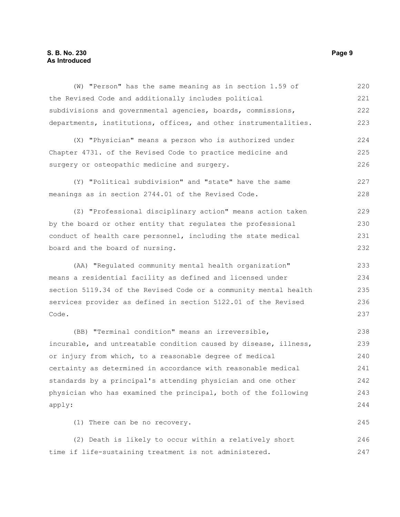### **S. B. No. 230** Page 9 **As Introduced**

| (W) "Person" has the same meaning as in section 1.59 of          | 220 |
|------------------------------------------------------------------|-----|
| the Revised Code and additionally includes political             | 221 |
| subdivisions and governmental agencies, boards, commissions,     | 222 |
| departments, institutions, offices, and other instrumentalities. | 223 |
| (X) "Physician" means a person who is authorized under           | 224 |
| Chapter 4731. of the Revised Code to practice medicine and       | 225 |
| surgery or osteopathic medicine and surgery.                     | 226 |
| (Y) "Political subdivision" and "state" have the same            | 227 |
| meanings as in section 2744.01 of the Revised Code.              | 228 |
| (Z) "Professional disciplinary action" means action taken        | 229 |
| by the board or other entity that regulates the professional     | 230 |
| conduct of health care personnel, including the state medical    | 231 |
| board and the board of nursing.                                  | 232 |
| (AA) "Regulated community mental health organization"            | 233 |
| means a residential facility as defined and licensed under       | 234 |
| section 5119.34 of the Revised Code or a community mental health | 235 |
| services provider as defined in section 5122.01 of the Revised   | 236 |
| Code.                                                            | 237 |
| (BB) "Terminal condition" means an irreversible,                 | 238 |
| incurable, and untreatable condition caused by disease, illness, | 239 |
| or injury from which, to a reasonable degree of medical          | 240 |
| certainty as determined in accordance with reasonable medical    | 241 |
| standards by a principal's attending physician and one other     | 242 |
| physician who has examined the principal, both of the following  | 243 |
| apply:                                                           | 244 |
| (1) There can be no recovery.                                    | 245 |
| (2) Death is likely to occur within a relatively short           | 246 |

time if life-sustaining treatment is not administered.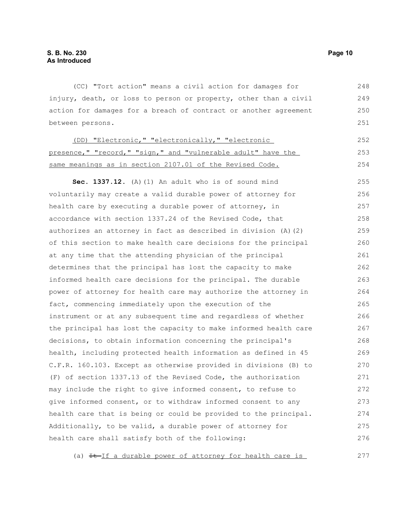(CC) "Tort action" means a civil action for damages for injury, death, or loss to person or property, other than a civil action for damages for a breach of contract or another agreement between persons. 248 249 250 251

| (DD) "Electronic," "electronically," "electronic             | 2.52 |
|--------------------------------------------------------------|------|
| presence," "record," "sign," and "vulnerable adult" have the | 253  |
| same meanings as in section 2107.01 of the Revised Code.     | 254  |

**Sec. 1337.12.** (A)(1) An adult who is of sound mind voluntarily may create a valid durable power of attorney for health care by executing a durable power of attorney, in accordance with section 1337.24 of the Revised Code, that authorizes an attorney in fact as described in division (A)(2) of this section to make health care decisions for the principal at any time that the attending physician of the principal determines that the principal has lost the capacity to make informed health care decisions for the principal. The durable power of attorney for health care may authorize the attorney in fact, commencing immediately upon the execution of the instrument or at any subsequent time and regardless of whether the principal has lost the capacity to make informed health care decisions, to obtain information concerning the principal's health, including protected health information as defined in 45 C.F.R. 160.103. Except as otherwise provided in divisions (B) to (F) of section 1337.13 of the Revised Code, the authorization may include the right to give informed consent, to refuse to give informed consent, or to withdraw informed consent to any health care that is being or could be provided to the principal. Additionally, to be valid, a durable power of attorney for health care shall satisfy both of the following: 255 256 257 258 259 260 261 262 263 264 265 266 267 268 269 270 271 272 273 274 275 276

(a)  $H-Jf$  a durable power of attorney for health care is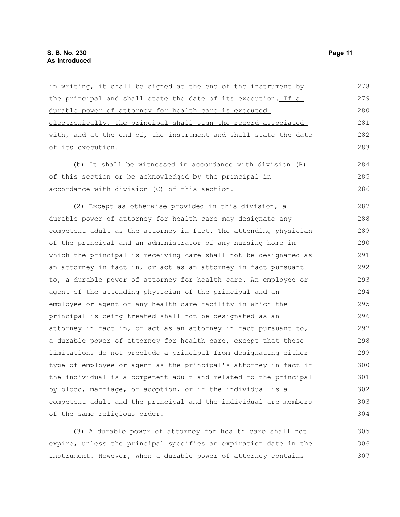in writing, it shall be signed at the end of the instrument by the principal and shall state the date of its execution. If a durable power of attorney for health care is executed electronically, the principal shall sign the record associated with, and at the end of, the instrument and shall state the date of its execution. (b) It shall be witnessed in accordance with division (B) of this section or be acknowledged by the principal in accordance with division (C) of this section. (2) Except as otherwise provided in this division, a durable power of attorney for health care may designate any competent adult as the attorney in fact. The attending physician of the principal and an administrator of any nursing home in which the principal is receiving care shall not be designated as an attorney in fact in, or act as an attorney in fact pursuant to, a durable power of attorney for health care. An employee or agent of the attending physician of the principal and an employee or agent of any health care facility in which the principal is being treated shall not be designated as an attorney in fact in, or act as an attorney in fact pursuant to, a durable power of attorney for health care, except that these limitations do not preclude a principal from designating either type of employee or agent as the principal's attorney in fact if the individual is a competent adult and related to the principal by blood, marriage, or adoption, or if the individual is a competent adult and the principal and the individual are members of the same religious order. 278 279 280 281 282 283 284 285 286 287 288 289 290 291 292 293 294 295 296 297 298 299 300 301 302 303 304

(3) A durable power of attorney for health care shall not expire, unless the principal specifies an expiration date in the instrument. However, when a durable power of attorney contains 305 306 307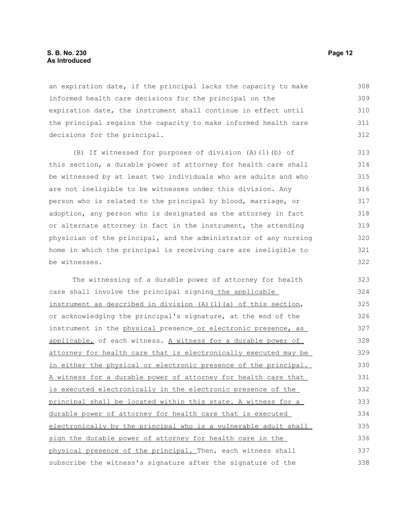#### **S. B. No. 230 Page 12 As Introduced**

an expiration date, if the principal lacks the capacity to make informed health care decisions for the principal on the expiration date, the instrument shall continue in effect until the principal regains the capacity to make informed health care decisions for the principal. 308 309 310 311 312

(B) If witnessed for purposes of division (A)(1)(b) of this section, a durable power of attorney for health care shall be witnessed by at least two individuals who are adults and who are not ineligible to be witnesses under this division. Any person who is related to the principal by blood, marriage, or adoption, any person who is designated as the attorney in fact or alternate attorney in fact in the instrument, the attending physician of the principal, and the administrator of any nursing home in which the principal is receiving care are ineligible to be witnesses.

The witnessing of a durable power of attorney for health care shall involve the principal signing the applicable instrument as described in division  $(A)$   $(1)$   $(a)$  of this section, or acknowledging the principal's signature, at the end of the instrument in the physical presence or electronic presence, as applicable, of each witness. A witness for a durable power of attorney for health care that is electronically executed may be in either the physical or electronic presence of the principal. A witness for a durable power of attorney for health care that is executed electronically in the electronic presence of the principal shall be located within this state. A witness for a durable power of attorney for health care that is executed electronically by the principal who is a vulnerable adult shall sign the durable power of attorney for health care in the physical presence of the principal. Then, each witness shall subscribe the witness's signature after the signature of the 323 324 325 326 327 328 329 330 331 332 333 334 335 336 337 338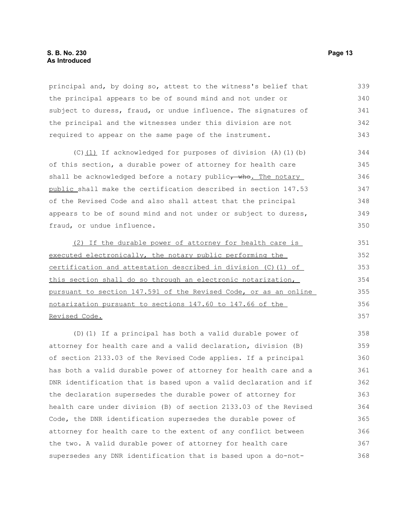principal and, by doing so, attest to the witness's belief that the principal appears to be of sound mind and not under or subject to duress, fraud, or undue influence. The signatures of the principal and the witnesses under this division are not required to appear on the same page of the instrument. 339 340 341 342 343

(C)(1) If acknowledged for purposes of division (A)(1)(b) of this section, a durable power of attorney for health care shall be acknowledged before a notary public, who. The notary public shall make the certification described in section 147.53 of the Revised Code and also shall attest that the principal appears to be of sound mind and not under or subject to duress, fraud, or undue influence.

(2) If the durable power of attorney for health care is executed electronically, the notary public performing the certification and attestation described in division (C)(1) of this section shall do so through an electronic notarization, pursuant to section 147.591 of the Revised Code, or as an online notarization pursuant to sections 147.60 to 147.66 of the Revised Code. 351 352 353 354 355 356 357

(D)(1) If a principal has both a valid durable power of attorney for health care and a valid declaration, division (B) of section 2133.03 of the Revised Code applies. If a principal has both a valid durable power of attorney for health care and a DNR identification that is based upon a valid declaration and if the declaration supersedes the durable power of attorney for health care under division (B) of section 2133.03 of the Revised Code, the DNR identification supersedes the durable power of attorney for health care to the extent of any conflict between the two. A valid durable power of attorney for health care supersedes any DNR identification that is based upon a do-not-358 359 360 361 362 363 364 365 366 367 368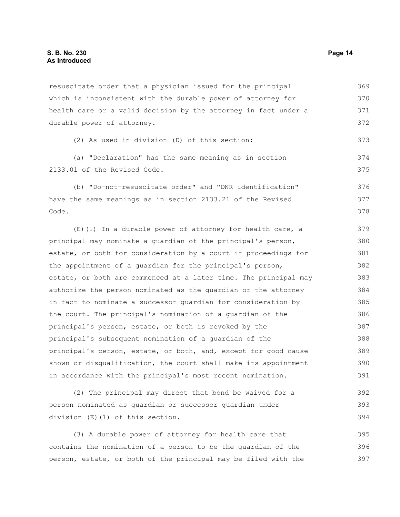resuscitate order that a physician issued for the principal which is inconsistent with the durable power of attorney for health care or a valid decision by the attorney in fact under a durable power of attorney. 369 370 371 372

```
(2) As used in division (D) of this section:
```
(a) "Declaration" has the same meaning as in section 2133.01 of the Revised Code. 374 375

(b) "Do-not-resuscitate order" and "DNR identification" have the same meanings as in section 2133.21 of the Revised Code. 376 377 378

(E)(1) In a durable power of attorney for health care, a principal may nominate a guardian of the principal's person, estate, or both for consideration by a court if proceedings for the appointment of a guardian for the principal's person, estate, or both are commenced at a later time. The principal may authorize the person nominated as the guardian or the attorney in fact to nominate a successor guardian for consideration by the court. The principal's nomination of a guardian of the principal's person, estate, or both is revoked by the principal's subsequent nomination of a guardian of the principal's person, estate, or both, and, except for good cause shown or disqualification, the court shall make its appointment in accordance with the principal's most recent nomination. 379 380 381 382 383 384 385 386 387 388 389 390 391

(2) The principal may direct that bond be waived for a person nominated as guardian or successor guardian under division (E)(1) of this section. 392 393 394

(3) A durable power of attorney for health care that contains the nomination of a person to be the guardian of the person, estate, or both of the principal may be filed with the 395 396 397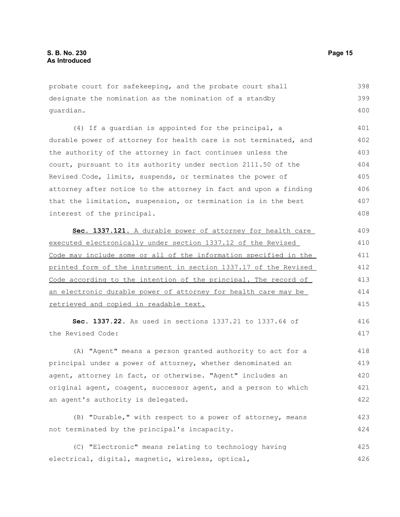probate court for safekeeping, and the probate court shall designate the nomination as the nomination of a standby guardian. 398 399 400

(4) If a guardian is appointed for the principal, a durable power of attorney for health care is not terminated, and the authority of the attorney in fact continues unless the court, pursuant to its authority under section 2111.50 of the Revised Code, limits, suspends, or terminates the power of attorney after notice to the attorney in fact and upon a finding that the limitation, suspension, or termination is in the best interest of the principal. 401 402 403 404 405 406 407 408

 **Sec. 1337.121.** A durable power of attorney for health care executed electronically under section 1337.12 of the Revised Code may include some or all of the information specified in the printed form of the instrument in section 1337.17 of the Revised Code according to the intention of the principal. The record of an electronic durable power of attorney for health care may be retrieved and copied in readable text. 409 410 411 412 413 414 415

**Sec. 1337.22.** As used in sections 1337.21 to 1337.64 of the Revised Code:

(A) "Agent" means a person granted authority to act for a principal under a power of attorney, whether denominated an agent, attorney in fact, or otherwise. "Agent" includes an original agent, coagent, successor agent, and a person to which an agent's authority is delegated. 418 419 420 421 422

(B) "Durable," with respect to a power of attorney, means not terminated by the principal's incapacity. 423 424

(C) "Electronic" means relating to technology having electrical, digital, magnetic, wireless, optical, 425 426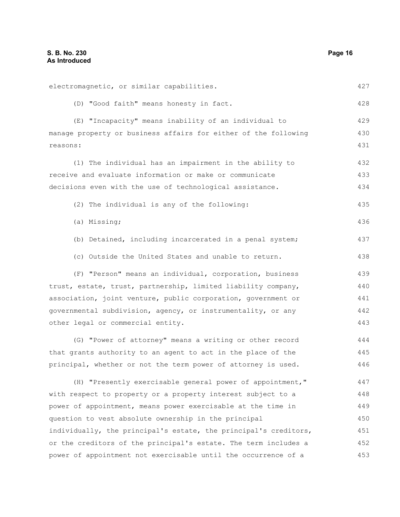| electromagnetic, or similar capabilities.                        | 427 |
|------------------------------------------------------------------|-----|
| (D) "Good faith" means honesty in fact.                          | 428 |
| (E) "Incapacity" means inability of an individual to             | 429 |
| manage property or business affairs for either of the following  | 430 |
| reasons:                                                         | 431 |
| (1) The individual has an impairment in the ability to           | 432 |
| receive and evaluate information or make or communicate          | 433 |
| decisions even with the use of technological assistance.         | 434 |
| (2) The individual is any of the following:                      | 435 |
| (a) Missing;                                                     | 436 |
| (b) Detained, including incarcerated in a penal system;          | 437 |
| (c) Outside the United States and unable to return.              | 438 |
| (F) "Person" means an individual, corporation, business          | 439 |
| trust, estate, trust, partnership, limited liability company,    | 440 |
| association, joint venture, public corporation, government or    | 441 |
| governmental subdivision, agency, or instrumentality, or any     |     |
| other legal or commercial entity.                                | 443 |
| (G) "Power of attorney" means a writing or other record          | 444 |
| that grants authority to an agent to act in the place of the     | 445 |
| principal, whether or not the term power of attorney is used.    | 446 |
| (H) "Presently exercisable general power of appointment,"        | 447 |
| with respect to property or a property interest subject to a     | 448 |
| power of appointment, means power exercisable at the time in     | 449 |
| question to vest absolute ownership in the principal             | 450 |
| individually, the principal's estate, the principal's creditors, | 451 |
| or the creditors of the principal's estate. The term includes a  | 452 |
| power of appointment not exercisable until the occurrence of a   | 453 |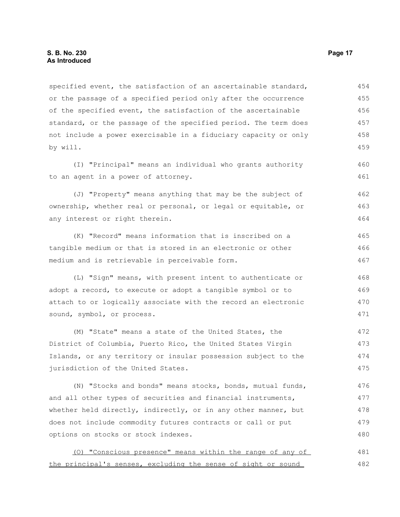specified event, the satisfaction of an ascertainable standard, or the passage of a specified period only after the occurrence of the specified event, the satisfaction of the ascertainable standard, or the passage of the specified period. The term does not include a power exercisable in a fiduciary capacity or only by will. 454 455 456 457 458 459

(I) "Principal" means an individual who grants authority to an agent in a power of attorney.

(J) "Property" means anything that may be the subject of ownership, whether real or personal, or legal or equitable, or any interest or right therein. 462 463 464

(K) "Record" means information that is inscribed on a tangible medium or that is stored in an electronic or other medium and is retrievable in perceivable form. 465 466 467

(L) "Sign" means, with present intent to authenticate or adopt a record, to execute or adopt a tangible symbol or to attach to or logically associate with the record an electronic sound, symbol, or process.

(M) "State" means a state of the United States, the District of Columbia, Puerto Rico, the United States Virgin Islands, or any territory or insular possession subject to the jurisdiction of the United States. 472 473 474 475

(N) "Stocks and bonds" means stocks, bonds, mutual funds, and all other types of securities and financial instruments, whether held directly, indirectly, or in any other manner, but does not include commodity futures contracts or call or put options on stocks or stock indexes. 476 477 478 479 480

(O) "Conscious presence" means within the range of any of the principal's senses, excluding the sense of sight or sound 481 482

460 461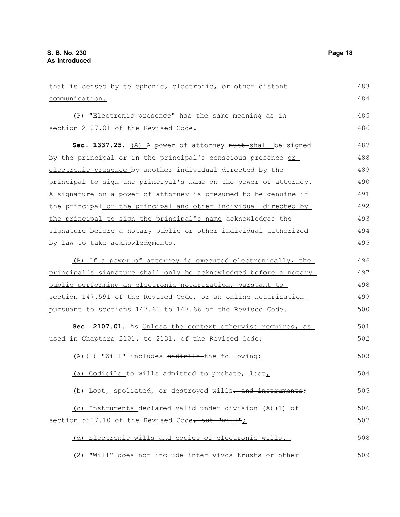| that is sensed by telephonic, electronic, or other distant       | 483 |
|------------------------------------------------------------------|-----|
| communication.                                                   | 484 |
| (P) "Electronic presence" has the same meaning as in             | 485 |
| section 2107.01 of the Revised Code.                             | 486 |
| Sec. 1337.25. (A) A power of attorney must shall be signed       | 487 |
| by the principal or in the principal's conscious presence or     | 488 |
| electronic presence by another individual directed by the        | 489 |
| principal to sign the principal's name on the power of attorney. | 490 |
| A signature on a power of attorney is presumed to be genuine if  | 491 |
| the principal or the principal and other individual directed by  | 492 |
| the principal to sign the principal's name acknowledges the      | 493 |
| signature before a notary public or other individual authorized  | 494 |
| by law to take acknowledgments.                                  | 495 |
| (B) If a power of attorney is executed electronically, the       | 496 |
| principal's signature shall only be acknowledged before a notary | 497 |
| public performing an electronic notarization, pursuant to        | 498 |
| section 147.591 of the Revised Code, or an online notarization   | 499 |
| pursuant to sections 147.60 to 147.66 of the Revised Code.       | 500 |
| Sec. 2107.01. As Unless the context otherwise requires, as       | 501 |
| used in Chapters 2101. to 2131. of the Revised Code:             | 502 |
| (A) (1) "Will" includes codicils-the following:                  | 503 |
| (a) Codicils to wills admitted to probate, lost;                 | 504 |
| (b) Lost, spoliated, or destroyed wills, and instruments;        | 505 |
| (c) Instruments declared valid under division (A) (1) of         | 506 |
| section 5817.10 of the Revised Code, but "will";                 | 507 |
| (d) Electronic wills and copies of electronic wills.             | 508 |
|                                                                  |     |

(2) "Will" does not include inter vivos trusts or other 509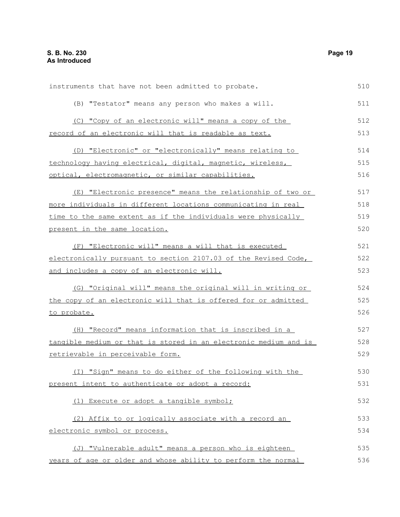| instruments that have not been admitted to probate.              | 510 |
|------------------------------------------------------------------|-----|
| (B) "Testator" means any person who makes a will.                | 511 |
| (C) "Copy of an electronic will" means a copy of the             | 512 |
| record of an electronic will that is readable as text.           | 513 |
| (D) "Electronic" or "electronically" means relating to           | 514 |
| technology having electrical, digital, magnetic, wireless,       | 515 |
| optical, electromagnetic, or similar capabilities.               | 516 |
| (E) "Electronic presence" means the relationship of two or       | 517 |
| more individuals in different locations communicating in real    | 518 |
| time to the same extent as if the individuals were physically    | 519 |
| present in the same location.                                    | 520 |
| (F) "Electronic will" means a will that is executed              | 521 |
| electronically pursuant to section 2107.03 of the Revised Code,  | 522 |
| and includes a copy of an electronic will.                       | 523 |
| (G) "Original will" means the original will in writing or        | 524 |
| the copy of an electronic will that is offered for or admitted   | 525 |
| to probate.                                                      | 526 |
| (H) "Record" means information that is inscribed in a            | 527 |
| tangible medium or that is stored in an electronic medium and is | 528 |
| retrievable in perceivable form.                                 | 529 |
| (I) "Sign" means to do either of the following with the          | 530 |
| present intent to authenticate or adopt a record:                | 531 |
| (1) Execute or adopt a tangible symbol;                          | 532 |
| (2) Affix to or logically associate with a record an             | 533 |
| electronic symbol or process.                                    | 534 |
| (J) "Vulnerable adult" means a person who is eighteen            | 535 |
| years of age or older and whose ability to perform the normal    | 536 |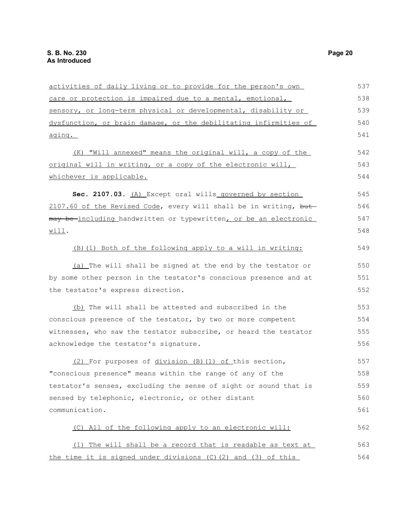| activities of daily living or to provide for the person's own    | 537 |
|------------------------------------------------------------------|-----|
| care or protection is impaired due to a mental, emotional,       | 538 |
| sensory, or long-term physical or developmental, disability or   | 539 |
| dysfunction, or brain damage, or the debilitating infirmities of | 540 |
| aging.                                                           | 541 |
| (K) "Will annexed" means the original will, a copy of the        | 542 |
| original will in writing, or a copy of the electronic will,      | 543 |
| whichever is applicable.                                         | 544 |
| Sec. 2107.03. (A) Except oral wills governed by section          | 545 |
| 2107.60 of the Revised Code, every will shall be in writing, but | 546 |
| may be-including handwritten or typewritten, or be an electronic | 547 |
| Willl.                                                           | 548 |
| (B) (1) Both of the following apply to a will in writing:        | 549 |
| (a) The will shall be signed at the end by the testator or       | 550 |
| by some other person in the testator's conscious presence and at | 551 |
| the testator's express direction.                                | 552 |
| (b) The will shall be attested and subscribed in the             | 553 |
| conscious presence of the testator, by two or more competent     | 554 |
| witnesses, who saw the testator subscribe, or heard the testator | 555 |
| acknowledge the testator's signature.                            | 556 |
| (2) For purposes of division (B) (1) of this section,            | 557 |
| "conscious presence" means within the range of any of the        | 558 |
| testator's senses, excluding the sense of sight or sound that is | 559 |
| sensed by telephonic, electronic, or other distant               | 560 |
| communication.                                                   | 561 |
| (C) All of the following apply to an electronic will:            | 562 |
| (1) The will shall be a record that is readable as text at       | 563 |
| the time it is signed under divisions (C) (2) and (3) of this    | 564 |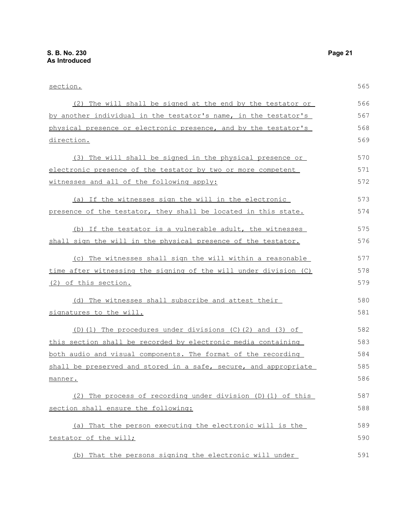| section.                                                         | 565 |
|------------------------------------------------------------------|-----|
| (2) The will shall be signed at the end by the testator or       | 566 |
| by another individual in the testator's name, in the testator's  | 567 |
| physical presence or electronic presence, and by the testator's  | 568 |
| direction.                                                       | 569 |
| (3) The will shall be signed in the physical presence or         | 570 |
| electronic presence of the testator by two or more competent     | 571 |
| witnesses and all of the following apply:                        | 572 |
| (a) If the witnesses sign the will in the electronic             | 573 |
| presence of the testator, they shall be located in this state.   | 574 |
| (b) If the testator is a vulnerable adult, the witnesses         | 575 |
| shall sign the will in the physical presence of the testator.    | 576 |
| (c) The witnesses shall sign the will within a reasonable        | 577 |
| time after witnessing the signing of the will under division (C) | 578 |
| (2) of this section.                                             | 579 |
| (d) The witnesses shall subscribe and attest their               | 580 |
| signatures to the will.                                          | 581 |
| (D)(1) The procedures under divisions (C)(2) and (3) of          | 582 |
| this section shall be recorded by electronic media containing    | 583 |
| both audio and visual components. The format of the recording    | 584 |
| shall be preserved and stored in a safe, secure, and appropriate | 585 |
| manner.                                                          | 586 |
| (2) The process of recording under division (D) (1) of this      | 587 |
| section shall ensure the following:                              | 588 |
| (a) That the person executing the electronic will is the         | 589 |
| testator of the will;                                            | 590 |
| (b) That the persons signing the electronic will under           | 591 |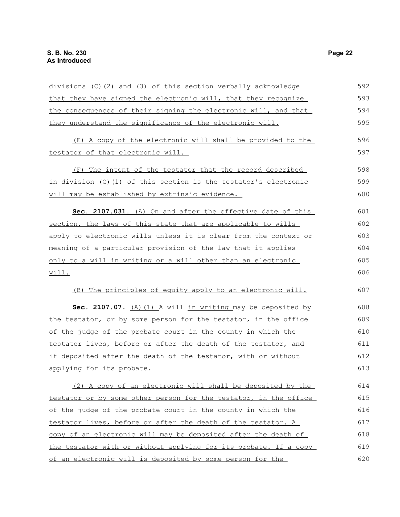| divisions (C)(2) and (3) of this section verbally acknowledge       | 592 |
|---------------------------------------------------------------------|-----|
| that they have signed the electronic will, that they recognize      | 593 |
| the consequences of their signing the electronic will, and that     | 594 |
| they understand the significance of the electronic will.            | 595 |
| (E) A copy of the electronic will shall be provided to the          | 596 |
| testator of that electronic will.                                   | 597 |
| The intent of the testator that the record described<br>(F)         | 598 |
| in division (C)(1) of this section is the testator's electronic     | 599 |
| will may be established by extrinsic evidence.                      | 600 |
| Sec. 2107.031. (A) On and after the effective date of this          | 601 |
| section, the laws of this state that are applicable to wills        | 602 |
| apply to electronic wills unless it is clear from the context or    | 603 |
| <u>meaning of a particular provision of the law that it applies</u> | 604 |
| only to a will in writing or a will other than an electronic        | 605 |
| will.                                                               | 606 |
| (B) The principles of equity apply to an electronic will.           | 607 |
| Sec. 2107.07. $(A)$ $(1)$ A will in writing may be deposited by     | 608 |
| the testator, or by some person for the testator, in the office     | 609 |
| of the judge of the probate court in the county in which the        | 610 |
| testator lives, before or after the death of the testator, and      | 611 |
| if deposited after the death of the testator, with or without       | 612 |
| applying for its probate.                                           | 613 |
| (2) A copy of an electronic will shall be deposited by the          | 614 |
| testator or by some other person for the testator, in the office    | 615 |
| of the judge of the probate court in the county in which the        | 616 |
| testator lives, before or after the death of the testator. A        | 617 |
| copy of an electronic will may be deposited after the death of      | 618 |
| the testator with or without applying for its probate. If a copy    | 619 |
| of an electronic will is deposited by some person for the           | 620 |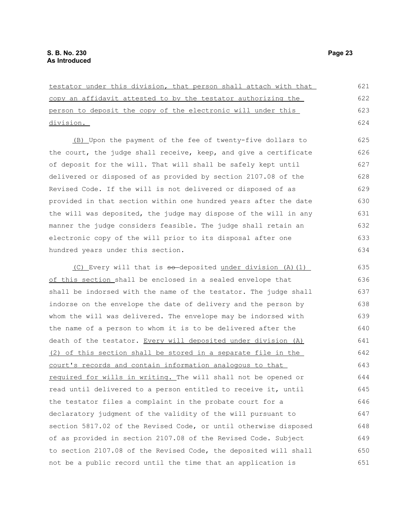| testator under this division, that person shall attach with that | 621 |
|------------------------------------------------------------------|-----|
| copy an affidavit attested to by the testator authorizing the    | 622 |
| person to deposit the copy of the electronic will under this     | 623 |
| division.                                                        | 624 |
| (B) Upon the payment of the fee of twenty-five dollars to        | 625 |
| the court, the judge shall receive, keep, and give a certificate | 626 |
| of deposit for the will. That will shall be safely kept until    | 627 |
| delivered or disposed of as provided by section 2107.08 of the   | 628 |
| Revised Code. If the will is not delivered or disposed of as     | 629 |
| provided in that section within one hundred years after the date | 630 |
| the will was deposited, the judge may dispose of the will in any | 631 |
| manner the judge considers feasible. The judge shall retain an   | 632 |
| electronic copy of the will prior to its disposal after one      | 633 |
| hundred years under this section.                                | 634 |
| (C) Every will that is so-deposited under division (A) (1)       | 635 |
| of this section shall be enclosed in a sealed envelope that      | 636 |
| shall be indorsed with the name of the testator. The judge shall | 637 |
| indorse on the envelope the date of delivery and the person by   | 638 |
| whom the will was delivered. The envelope may be indorsed with   | 639 |
| the name of a person to whom it is to be delivered after the     | 640 |
| death of the testator. Every will deposited under division (A)   | 641 |
| (2) of this section shall be stored in a separate file in the    | 642 |
| court's records and contain information analogous to that        | 643 |
| required for wills in writing. The will shall not be opened or   | 644 |
| read until delivered to a person entitled to receive it, until   | 645 |
| the testator files a complaint in the probate court for a        | 646 |
| declaratory judgment of the validity of the will pursuant to     | 647 |
| section 5817.02 of the Revised Code, or until otherwise disposed | 648 |
| of as provided in section 2107.08 of the Revised Code. Subject   | 649 |
| to section 2107.08 of the Revised Code, the deposited will shall | 650 |

not be a public record until the time that an application is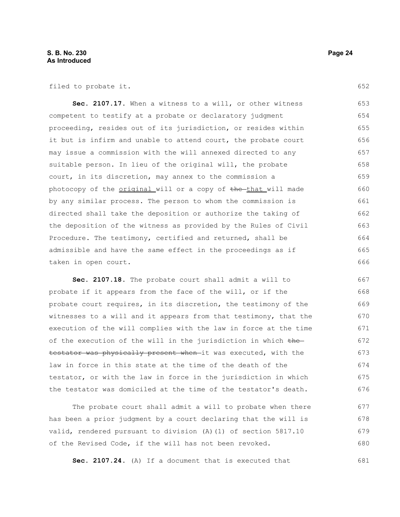filed to probate it.

**Sec. 2107.17.** When a witness to a will, or other witness competent to testify at a probate or declaratory judgment proceeding, resides out of its jurisdiction, or resides within it but is infirm and unable to attend court, the probate court may issue a commission with the will annexed directed to any suitable person. In lieu of the original will, the probate court, in its discretion, may annex to the commission a photocopy of the original will or a copy of the that will made by any similar process. The person to whom the commission is directed shall take the deposition or authorize the taking of the deposition of the witness as provided by the Rules of Civil Procedure. The testimony, certified and returned, shall be admissible and have the same effect in the proceedings as if taken in open court. 653 654 655 656 657 658 659 660 661 662 663 664 665 666

**Sec. 2107.18.** The probate court shall admit a will to probate if it appears from the face of the will, or if the probate court requires, in its discretion, the testimony of the witnesses to a will and it appears from that testimony, that the execution of the will complies with the law in force at the time of the execution of the will in the jurisdiction in which  $the$ testator was physically present when it was executed, with the law in force in this state at the time of the death of the testator, or with the law in force in the jurisdiction in which the testator was domiciled at the time of the testator's death. 667 668 669 670 671 672 673 674 675 676

The probate court shall admit a will to probate when there has been a prior judgment by a court declaring that the will is valid, rendered pursuant to division (A)(1) of section 5817.10 of the Revised Code, if the will has not been revoked. 677 678 679 680

**Sec. 2107.24.** (A) If a document that is executed that 681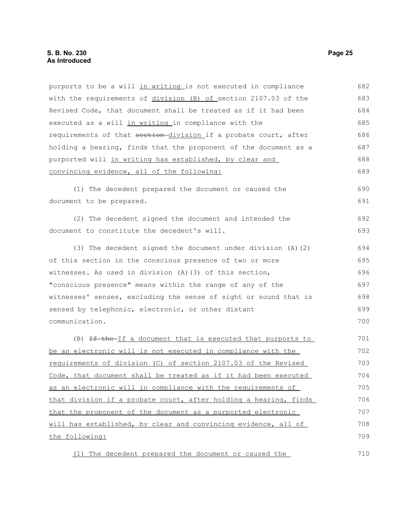## **S. B. No. 230 Page 25 As Introduced**

| purports to be a will in writing is not executed in compliance   | 682 |
|------------------------------------------------------------------|-----|
| with the requirements of division (B) of section 2107.03 of the  | 683 |
| Revised Code, that document shall be treated as if it had been   | 684 |
| executed as a will in writing in compliance with the             | 685 |
| requirements of that section-division if a probate court, after  | 686 |
| holding a hearing, finds that the proponent of the document as a | 687 |
| purported will in writing has established, by clear and          | 688 |
| convincing evidence, all of the following:                       | 689 |
| (1) The decedent prepared the document or caused the             | 690 |
| document to be prepared.                                         | 691 |
| (2) The decedent signed the document and intended the            | 692 |
| document to constitute the decedent's will.                      | 693 |
| (3) The decedent signed the document under division $(A)$ $(2)$  | 694 |
| of this section in the conscious presence of two or more         | 695 |
| witnesses. As used in division (A) (3) of this section,          | 696 |
| "conscious presence" means within the range of any of the        | 697 |
| witnesses' senses, excluding the sense of sight or sound that is | 698 |
| sensed by telephonic, electronic, or other distant               | 699 |
| communication.                                                   | 700 |
| (B) If the If a document that is executed that purports to       | 701 |
| be an electronic will is not executed in compliance with the     | 702 |
| requirements of division (C) of section 2107.03 of the Revised   | 703 |
| Code, that document shall be treated as if it had been executed  | 704 |
| as an electronic will in compliance with the requirements of     | 705 |
| that division if a probate court, after holding a hearing, finds | 706 |
| that the proponent of the document as a purported electronic     | 707 |
| will has established, by clear and convincing evidence, all of   | 708 |
| the following:                                                   | 709 |
| (1) The decedent prepared the document or caused the             | 710 |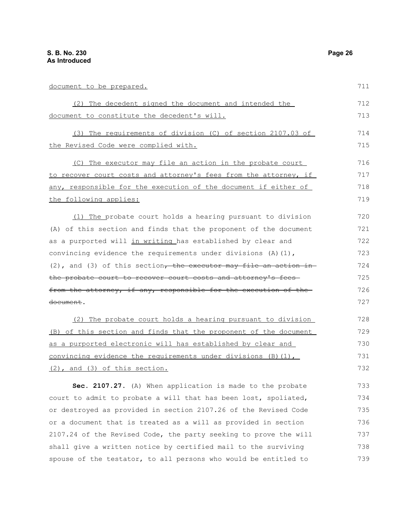document to be prepared.

| (2) The decedent signed the document and intended the                  | 712  |
|------------------------------------------------------------------------|------|
| document to constitute the decedent's will.                            | 713  |
| (3) The requirements of division (C) of section 2107.03 of             | 714  |
| the Revised Code were complied with.                                   | 715  |
| (C) The executor may file an action in the probate court               | 716  |
| to recover court costs and attorney's fees from the attorney, if       | 717  |
| any, responsible for the execution of the document if either of        | 718  |
| the following applies:                                                 | 719  |
| (1) The probate court holds a hearing pursuant to division             | 720  |
| (A) of this section and finds that the proponent of the document       | 721  |
| as a purported will in writing has established by clear and            | 722  |
| convincing evidence the requirements under divisions $(A)$ (1),        | 723  |
| $(2)$ , and $(3)$ of this section, the executor may file an action in- | 724  |
| the probate court to recover court costs and attorney's fees-          | 725  |
|                                                                        | $ -$ |

from the attorney, if any, responsible for the execution of the document. 726 727

(2) The probate court holds a hearing pursuant to division (B) of this section and finds that the proponent of the document as a purported electronic will has established by clear and convincing evidence the requirements under divisions  $(B)(1)$ , (2), and (3) of this section. 728 729 730 731 732

**Sec. 2107.27.** (A) When application is made to the probate court to admit to probate a will that has been lost, spoliated, or destroyed as provided in section 2107.26 of the Revised Code or a document that is treated as a will as provided in section 2107.24 of the Revised Code, the party seeking to prove the will shall give a written notice by certified mail to the surviving spouse of the testator, to all persons who would be entitled to 733 734 735 736 737 738 739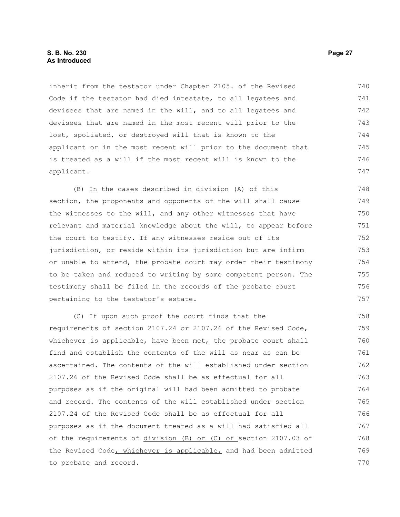#### **S. B. No. 230 Page 27 As Introduced**

inherit from the testator under Chapter 2105. of the Revised Code if the testator had died intestate, to all legatees and devisees that are named in the will, and to all legatees and devisees that are named in the most recent will prior to the lost, spoliated, or destroyed will that is known to the applicant or in the most recent will prior to the document that is treated as a will if the most recent will is known to the applicant. 740 741 742 743 744 745 746 747

(B) In the cases described in division (A) of this section, the proponents and opponents of the will shall cause the witnesses to the will, and any other witnesses that have relevant and material knowledge about the will, to appear before the court to testify. If any witnesses reside out of its jurisdiction, or reside within its jurisdiction but are infirm or unable to attend, the probate court may order their testimony to be taken and reduced to writing by some competent person. The testimony shall be filed in the records of the probate court pertaining to the testator's estate.

(C) If upon such proof the court finds that the requirements of section 2107.24 or 2107.26 of the Revised Code, whichever is applicable, have been met, the probate court shall find and establish the contents of the will as near as can be ascertained. The contents of the will established under section 2107.26 of the Revised Code shall be as effectual for all purposes as if the original will had been admitted to probate and record. The contents of the will established under section 2107.24 of the Revised Code shall be as effectual for all purposes as if the document treated as a will had satisfied all of the requirements of division (B) or (C) of section 2107.03 of the Revised Code, whichever is applicable, and had been admitted to probate and record. 758 759 760 761 762 763 764 765 766 767 768 769 770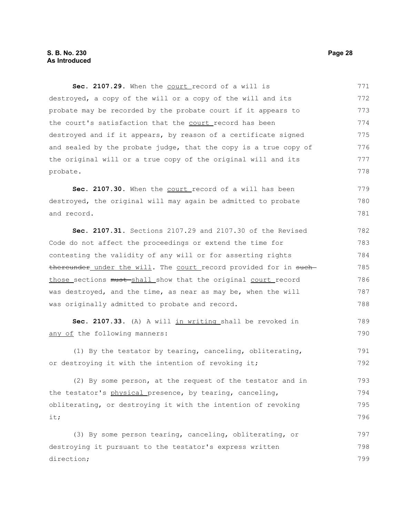Sec. 2107.29. When the court record of a will is destroyed, a copy of the will or a copy of the will and its probate may be recorded by the probate court if it appears to the court's satisfaction that the court record has been destroyed and if it appears, by reason of a certificate signed and sealed by the probate judge, that the copy is a true copy of the original will or a true copy of the original will and its probate. 771 772 773 774 775 776 777 778

Sec. 2107.30. When the court record of a will has been destroyed, the original will may again be admitted to probate and record. 779 780 781

**Sec. 2107.31.** Sections 2107.29 and 2107.30 of the Revised Code do not affect the proceedings or extend the time for contesting the validity of any will or for asserting rights thereunder under the will. The court record provided for in suchthose sections must-shall show that the original court record was destroyed, and the time, as near as may be, when the will was originally admitted to probate and record. 782 783 784 785 786 787 788

Sec. 2107.33. (A) A will in writing shall be revoked in any of the following manners: 789 790

(1) By the testator by tearing, canceling, obliterating, or destroying it with the intention of revoking it; 791 792

(2) By some person, at the request of the testator and in the testator's physical presence, by tearing, canceling, obliterating, or destroying it with the intention of revoking it; 793 794 795 796

(3) By some person tearing, canceling, obliterating, or destroying it pursuant to the testator's express written direction; 797 798 799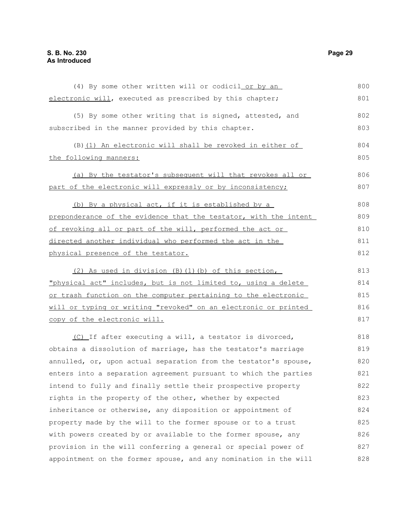| (4) By some other written will or codicil or by an               | 800 |
|------------------------------------------------------------------|-----|
| electronic will, executed as prescribed by this chapter;         | 801 |
| (5) By some other writing that is signed, attested, and          | 802 |
| subscribed in the manner provided by this chapter.               | 803 |
| (B) (1) An electronic will shall be revoked in either of         | 804 |
| the following manners:                                           | 805 |
| (a) By the testator's subsequent will that revokes all or        | 806 |
| part of the electronic will expressly or by inconsistency;       | 807 |
| (b) By a physical act, if it is established by a                 | 808 |
| preponderance of the evidence that the testator, with the intent | 809 |
| of revoking all or part of the will, performed the act or        | 810 |
| directed another individual who performed the act in the         | 811 |
| physical presence of the testator.                               | 812 |
| (2) As used in division (B) (1) (b) of this section,             | 813 |
| "physical act" includes, but is not limited to, using a delete   | 814 |
| or trash function on the computer pertaining to the electronic   | 815 |
| will or typing or writing "revoked" on an electronic or printed  | 816 |
| copy of the electronic will.                                     | 817 |
| (C) If after executing a will, a testator is divorced,           | 818 |
| obtains a dissolution of marriage, has the testator's marriage   | 819 |
| annulled, or, upon actual separation from the testator's spouse, | 820 |
| enters into a separation agreement pursuant to which the parties | 821 |
| intend to fully and finally settle their prospective property    | 822 |
| rights in the property of the other, whether by expected         | 823 |
| inheritance or otherwise, any disposition or appointment of      | 824 |
| property made by the will to the former spouse or to a trust     | 825 |
| with powers created by or available to the former spouse, any    | 826 |
| provision in the will conferring a general or special power of   | 827 |
| appointment on the former spouse, and any nomination in the will | 828 |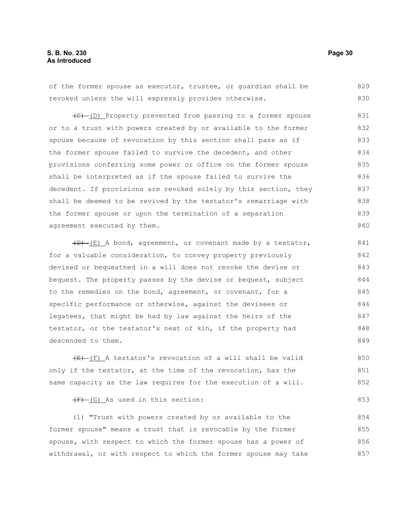#### **S. B. No. 230 Page 30 As Introduced**

of the former spouse as executor, trustee, or guardian shall be revoked unless the will expressly provides otherwise. 829 830

(C) (D) Property prevented from passing to a former spouse or to a trust with powers created by or available to the former spouse because of revocation by this section shall pass as if the former spouse failed to survive the decedent, and other provisions conferring some power or office on the former spouse shall be interpreted as if the spouse failed to survive the decedent. If provisions are revoked solely by this section, they shall be deemed to be revived by the testator's remarriage with the former spouse or upon the termination of a separation agreement executed by them. 831 832 833 834 835 836 837 838 839 840

 $(D)$  (E) A bond, agreement, or covenant made by a testator, for a valuable consideration, to convey property previously devised or bequeathed in a will does not revoke the devise or bequest. The property passes by the devise or bequest, subject to the remedies on the bond, agreement, or covenant, for a specific performance or otherwise, against the devisees or legatees, that might be had by law against the heirs of the testator, or the testator's next of kin, if the property had descended to them. 841 842 843 844 845 846 847 848 849

 $(E)$  (F) A testator's revocation of a will shall be valid only if the testator, at the time of the revocation, has the same capacity as the law requires for the execution of a will. 850 851 852

 $(F)$  (G) As used in this section:

(1) "Trust with powers created by or available to the former spouse" means a trust that is revocable by the former spouse, with respect to which the former spouse has a power of withdrawal, or with respect to which the former spouse may take 854 855 856 857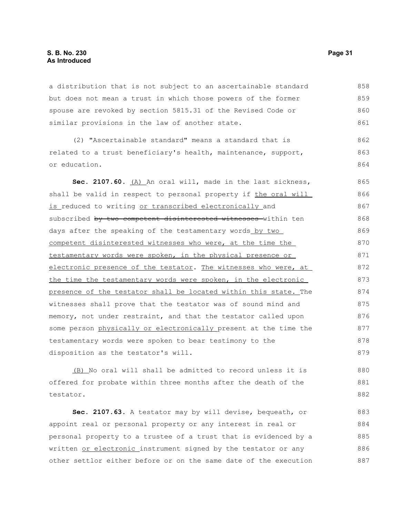#### **S. B. No. 230 Page 31 As Introduced**

a distribution that is not subject to an ascertainable standard but does not mean a trust in which those powers of the former spouse are revoked by section 5815.31 of the Revised Code or similar provisions in the law of another state. 858 859 860 861

(2) "Ascertainable standard" means a standard that is related to a trust beneficiary's health, maintenance, support, or education. 862 863 864

Sec. 2107.60. (A) An oral will, made in the last sickness, shall be valid in respect to personal property if the oral will is reduced to writing or transcribed electronically and subscribed by two competent disinterested witnesses within ten days after the speaking of the testamentary words by two competent disinterested witnesses who were, at the time the testamentary words were spoken, in the physical presence or electronic presence of the testator. The witnesses who were, at the time the testamentary words were spoken, in the electronic presence of the testator shall be located within this state. The witnesses shall prove that the testator was of sound mind and memory, not under restraint, and that the testator called upon some person physically or electronically present at the time the testamentary words were spoken to bear testimony to the disposition as the testator's will. 865 866 867 868 869 870 871 872 873 874 875 876 877 878 879

(B) No oral will shall be admitted to record unless it is offered for probate within three months after the death of the testator. 880 881 882

**Sec. 2107.63.** A testator may by will devise, bequeath, or appoint real or personal property or any interest in real or personal property to a trustee of a trust that is evidenced by a written or electronic instrument signed by the testator or any other settlor either before or on the same date of the execution 883 884 885 886 887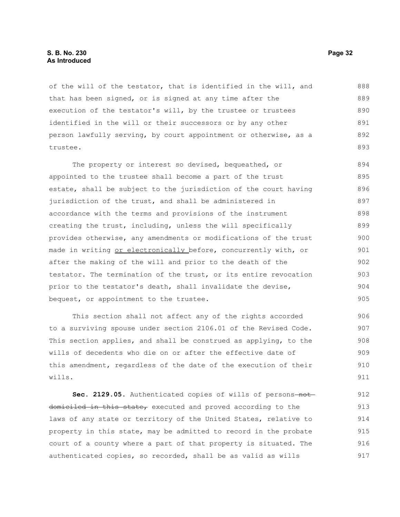#### **S. B. No. 230 Page 32 As Introduced**

of the will of the testator, that is identified in the will, and that has been signed, or is signed at any time after the execution of the testator's will, by the trustee or trustees identified in the will or their successors or by any other person lawfully serving, by court appointment or otherwise, as a trustee. 888 889 890 891 892 893

The property or interest so devised, bequeathed, or appointed to the trustee shall become a part of the trust estate, shall be subject to the jurisdiction of the court having jurisdiction of the trust, and shall be administered in accordance with the terms and provisions of the instrument creating the trust, including, unless the will specifically provides otherwise, any amendments or modifications of the trust made in writing or electronically before, concurrently with, or after the making of the will and prior to the death of the testator. The termination of the trust, or its entire revocation prior to the testator's death, shall invalidate the devise, bequest, or appointment to the trustee. 894 895 896 897 898 899 900 901 902 903 904 905

This section shall not affect any of the rights accorded to a surviving spouse under section 2106.01 of the Revised Code. This section applies, and shall be construed as applying, to the wills of decedents who die on or after the effective date of this amendment, regardless of the date of the execution of their wills. 906 907 908 909 910 911

Sec. 2129.05. Authenticated copies of wills of persons-notdomiciled in this state, executed and proved according to the laws of any state or territory of the United States, relative to property in this state, may be admitted to record in the probate court of a county where a part of that property is situated. The authenticated copies, so recorded, shall be as valid as wills 912 913 914 915 916 917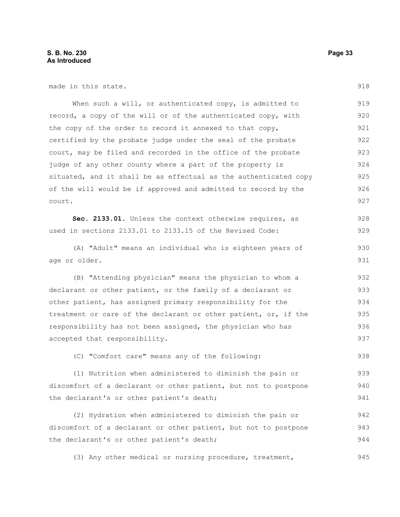made in this state.

When such a will, or authenticated copy, is admitted to record, a copy of the will or of the authenticated copy, with the copy of the order to record it annexed to that copy, certified by the probate judge under the seal of the probate court, may be filed and recorded in the office of the probate judge of any other county where a part of the property is situated, and it shall be as effectual as the authenticated copy of the will would be if approved and admitted to record by the court. 919 920 921 922 923 924 925 926 927

Sec. 2133.01. Unless the context otherwise requires, as used in sections 2133.01 to 2133.15 of the Revised Code: 928 929

(A) "Adult" means an individual who is eighteen years of age or older.

(B) "Attending physician" means the physician to whom a declarant or other patient, or the family of a declarant or other patient, has assigned primary responsibility for the treatment or care of the declarant or other patient, or, if the responsibility has not been assigned, the physician who has accepted that responsibility. 932 933 934 935 936 937

(C) "Comfort care" means any of the following:

(1) Nutrition when administered to diminish the pain or discomfort of a declarant or other patient, but not to postpone the declarant's or other patient's death; 939 940 941

(2) Hydration when administered to diminish the pain or discomfort of a declarant or other patient, but not to postpone the declarant's or other patient's death; 942 943 944

(3) Any other medical or nursing procedure, treatment, 945

918

938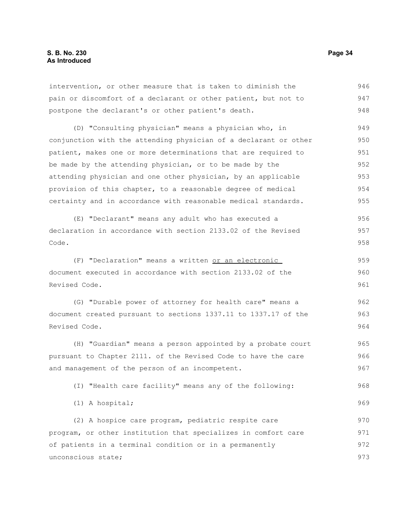intervention, or other measure that is taken to diminish the pain or discomfort of a declarant or other patient, but not to postpone the declarant's or other patient's death. 946 947 948

(D) "Consulting physician" means a physician who, in conjunction with the attending physician of a declarant or other patient, makes one or more determinations that are required to be made by the attending physician, or to be made by the attending physician and one other physician, by an applicable provision of this chapter, to a reasonable degree of medical certainty and in accordance with reasonable medical standards. 949 950 951 952 953 954 955

(E) "Declarant" means any adult who has executed a declaration in accordance with section 2133.02 of the Revised Code. 956 957 958

(F) "Declaration" means a written or an electronic document executed in accordance with section 2133.02 of the Revised Code. 959 960 961

(G) "Durable power of attorney for health care" means a document created pursuant to sections 1337.11 to 1337.17 of the Revised Code. 962 963 964

(H) "Guardian" means a person appointed by a probate court pursuant to Chapter 2111. of the Revised Code to have the care and management of the person of an incompetent. 965 966 967

(I) "Health care facility" means any of the following: 968

(1) A hospital;

(2) A hospice care program, pediatric respite care program, or other institution that specializes in comfort care of patients in a terminal condition or in a permanently unconscious state; 970 971 972 973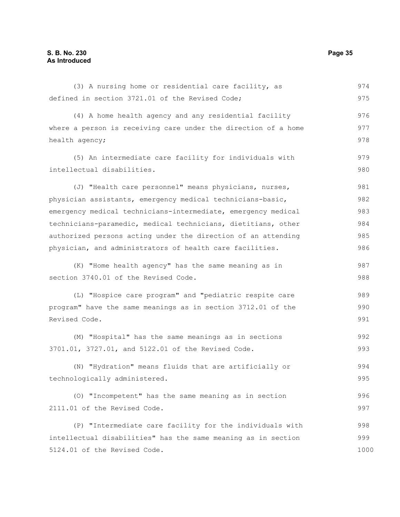(3) A nursing home or residential care facility, as defined in section 3721.01 of the Revised Code; (4) A home health agency and any residential facility where a person is receiving care under the direction of a home health agency; (5) An intermediate care facility for individuals with intellectual disabilities. (J) "Health care personnel" means physicians, nurses, physician assistants, emergency medical technicians-basic, emergency medical technicians-intermediate, emergency medical technicians-paramedic, medical technicians, dietitians, other authorized persons acting under the direction of an attending physician, and administrators of health care facilities. (K) "Home health agency" has the same meaning as in section 3740.01 of the Revised Code. (L) "Hospice care program" and "pediatric respite care program" have the same meanings as in section 3712.01 of the Revised Code. (M) "Hospital" has the same meanings as in sections 3701.01, 3727.01, and 5122.01 of the Revised Code. (N) "Hydration" means fluids that are artificially or technologically administered. (O) "Incompetent" has the same meaning as in section 2111.01 of the Revised Code. (P) "Intermediate care facility for the individuals with intellectual disabilities" has the same meaning as in section 5124.01 of the Revised Code. 974 975 976 977 978 979 980 981 982 983 984 985 986 987 988 989 990 991 992 993 994 995 996 997 998 999 1000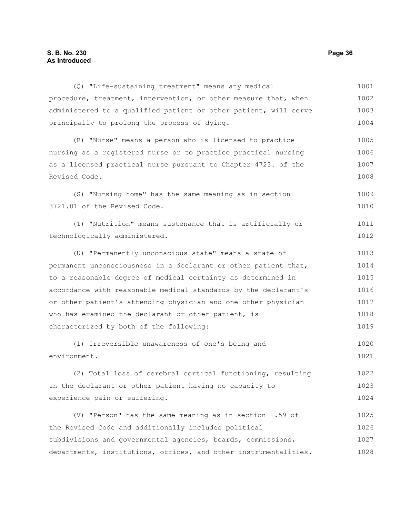#### **S. B. No. 230 Page 36 As Introduced**

(Q) "Life-sustaining treatment" means any medical procedure, treatment, intervention, or other measure that, when administered to a qualified patient or other patient, will serve principally to prolong the process of dying. (R) "Nurse" means a person who is licensed to practice nursing as a registered nurse or to practice practical nursing as a licensed practical nurse pursuant to Chapter 4723. of the Revised Code. (S) "Nursing home" has the same meaning as in section 3721.01 of the Revised Code. (T) "Nutrition" means sustenance that is artificially or technologically administered. (U) "Permanently unconscious state" means a state of permanent unconsciousness in a declarant or other patient that, to a reasonable degree of medical certainty as determined in accordance with reasonable medical standards by the declarant's or other patient's attending physician and one other physician who has examined the declarant or other patient, is characterized by both of the following: (1) Irreversible unawareness of one's being and environment. (2) Total loss of cerebral cortical functioning, resulting in the declarant or other patient having no capacity to experience pain or suffering. (V) "Person" has the same meaning as in section 1.59 of the Revised Code and additionally includes political subdivisions and governmental agencies, boards, commissions, departments, institutions, offices, and other instrumentalities. 1001 1002 1003 1004 1005 1006 1007 1008 1009 1010 1011 1012 1013 1014 1015 1016 1017 1018 1019 1020 1021 1022 1023 1024 1025 1026 1027 1028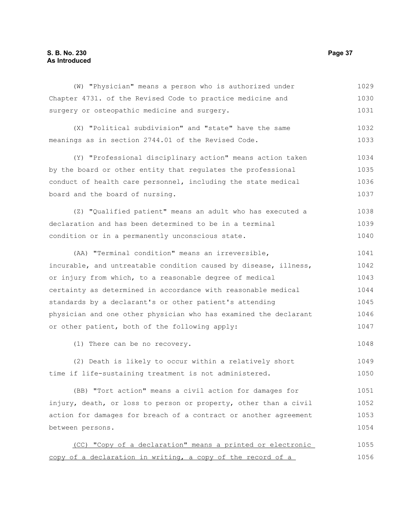#### **S. B. No. 230 Page 37 As Introduced**

(W) "Physician" means a person who is authorized under Chapter 4731. of the Revised Code to practice medicine and surgery or osteopathic medicine and surgery. 1029 1030 1031

(X) "Political subdivision" and "state" have the same meanings as in section 2744.01 of the Revised Code. 1032 1033

(Y) "Professional disciplinary action" means action taken by the board or other entity that regulates the professional conduct of health care personnel, including the state medical board and the board of nursing. 1034 1035 1036 1037

(Z) "Qualified patient" means an adult who has executed a declaration and has been determined to be in a terminal condition or in a permanently unconscious state. 1038 1039 1040

(AA) "Terminal condition" means an irreversible, incurable, and untreatable condition caused by disease, illness, or injury from which, to a reasonable degree of medical certainty as determined in accordance with reasonable medical standards by a declarant's or other patient's attending physician and one other physician who has examined the declarant or other patient, both of the following apply: 1041 1042 1043 1044 1045 1046 1047

(1) There can be no recovery.

(2) Death is likely to occur within a relatively short time if life-sustaining treatment is not administered. 1049 1050

(BB) "Tort action" means a civil action for damages for injury, death, or loss to person or property, other than a civil action for damages for breach of a contract or another agreement between persons. 1051 1052 1053 1054

(CC) "Copy of a declaration" means a printed or electronic copy of a declaration in writing, a copy of the record of a 1055 1056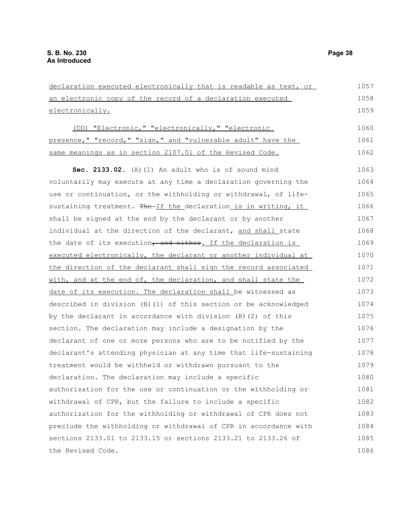declaration executed electronically that is readable as text, or an electronic copy of the record of a declaration executed electronically. (DD) "Electronic," "electronically," "electronic presence," "record," "sign," and "vulnerable adult" have the same meanings as in section 2107.01 of the Revised Code. **Sec. 2133.02.** (A)(1) An adult who is of sound mind voluntarily may execute at any time a declaration governing the use or continuation, or the withholding or withdrawal, of lifesustaining treatment. The If the declaration is in writing, it shall be signed at the end by the declarant or by another individual at the direction of the declarant, and shall state the date of its execution, and either. If the declaration is executed electronically, the declarant or another individual at the direction of the declarant shall sign the record associated with, and at the end of, the declaration, and shall state the date of its execution. The declaration shall be witnessed as described in division (B)(1) of this section or be acknowledged by the declarant in accordance with division (B)(2) of this section. The declaration may include a designation by the declarant of one or more persons who are to be notified by the declarant's attending physician at any time that life-sustaining treatment would be withheld or withdrawn pursuant to the declaration. The declaration may include a specific authorization for the use or continuation or the withholding or withdrawal of CPR, but the failure to include a specific authorization for the withholding or withdrawal of CPR does not preclude the withholding or withdrawal of CPR in accordance with sections 2133.01 to 2133.15 or sections 2133.21 to 2133.26 of the Revised Code. 1057 1058 1059 1060 1061 1062 1063 1064 1065 1066 1067 1068 1069 1070 1071 1072 1073 1074 1075 1076 1077 1078 1079 1080 1081 1082 1083 1084 1085 1086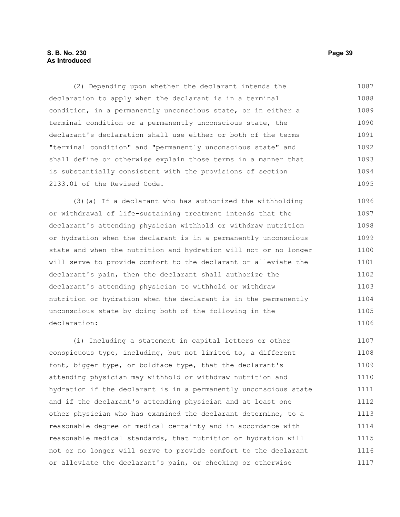#### **S. B. No. 230 Page 39 As Introduced**

(2) Depending upon whether the declarant intends the declaration to apply when the declarant is in a terminal condition, in a permanently unconscious state, or in either a terminal condition or a permanently unconscious state, the declarant's declaration shall use either or both of the terms "terminal condition" and "permanently unconscious state" and shall define or otherwise explain those terms in a manner that is substantially consistent with the provisions of section 2133.01 of the Revised Code. 1087 1088 1089 1090 1091 1092 1093 1094 1095

(3)(a) If a declarant who has authorized the withholding or withdrawal of life-sustaining treatment intends that the declarant's attending physician withhold or withdraw nutrition or hydration when the declarant is in a permanently unconscious state and when the nutrition and hydration will not or no longer will serve to provide comfort to the declarant or alleviate the declarant's pain, then the declarant shall authorize the declarant's attending physician to withhold or withdraw nutrition or hydration when the declarant is in the permanently unconscious state by doing both of the following in the declaration: 1096 1097 1098 1099 1100 1101 1102 1103 1104 1105 1106

(i) Including a statement in capital letters or other conspicuous type, including, but not limited to, a different font, bigger type, or boldface type, that the declarant's attending physician may withhold or withdraw nutrition and hydration if the declarant is in a permanently unconscious state and if the declarant's attending physician and at least one other physician who has examined the declarant determine, to a reasonable degree of medical certainty and in accordance with reasonable medical standards, that nutrition or hydration will not or no longer will serve to provide comfort to the declarant or alleviate the declarant's pain, or checking or otherwise 1107 1108 1109 1110 1111 1112 1113 1114 1115 1116 1117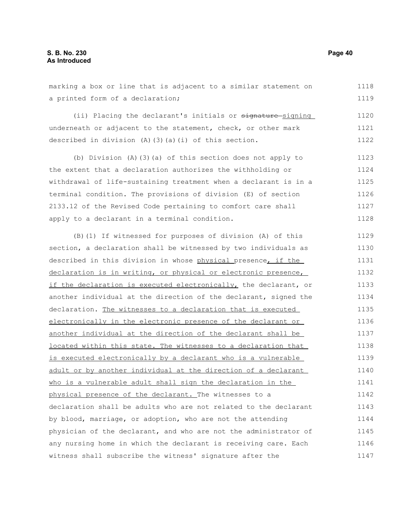marking a box or line that is adjacent to a similar statement on a printed form of a declaration; 1118 1119

(ii) Placing the declarant's initials or signature-signing underneath or adjacent to the statement, check, or other mark described in division (A)(3)(a)(i) of this section. 1120 1121 1122

(b) Division (A)(3)(a) of this section does not apply to the extent that a declaration authorizes the withholding or withdrawal of life-sustaining treatment when a declarant is in a terminal condition. The provisions of division (E) of section 2133.12 of the Revised Code pertaining to comfort care shall apply to a declarant in a terminal condition. 1123 1124 1125 1126 1127 1128

(B)(1) If witnessed for purposes of division (A) of this section, a declaration shall be witnessed by two individuals as described in this division in whose physical presence, if the declaration is in writing, or physical or electronic presence, if the declaration is executed electronically, the declarant, or another individual at the direction of the declarant, signed the declaration. The witnesses to a declaration that is executed electronically in the electronic presence of the declarant or another individual at the direction of the declarant shall be located within this state. The witnesses to a declaration that is executed electronically by a declarant who is a vulnerable adult or by another individual at the direction of a declarant who is a vulnerable adult shall sign the declaration in the physical presence of the declarant. The witnesses to a declaration shall be adults who are not related to the declarant by blood, marriage, or adoption, who are not the attending physician of the declarant, and who are not the administrator of any nursing home in which the declarant is receiving care. Each witness shall subscribe the witness' signature after the 1129 1130 1131 1132 1133 1134 1135 1136 1137 1138 1139 1140 1141 1142 1143 1144 1145 1146 1147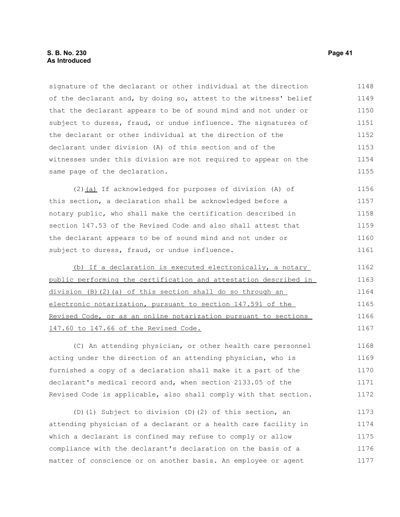#### **S. B. No. 230 Page 41 As Introduced**

signature of the declarant or other individual at the direction of the declarant and, by doing so, attest to the witness' belief that the declarant appears to be of sound mind and not under or subject to duress, fraud, or undue influence. The signatures of the declarant or other individual at the direction of the declarant under division (A) of this section and of the witnesses under this division are not required to appear on the same page of the declaration. 1148 1149 1150 1151 1152 1153 1154 1155

(2)(a) If acknowledged for purposes of division (A) of this section, a declaration shall be acknowledged before a notary public, who shall make the certification described in section 147.53 of the Revised Code and also shall attest that the declarant appears to be of sound mind and not under or subject to duress, fraud, or undue influence. 1156 1157 1158 1159 1160 1161

(b) If a declaration is executed electronically, a notary public performing the certification and attestation described in division (B)(2)(a) of this section shall do so through an electronic notarization, pursuant to section 147.591 of the Revised Code, or as an online notarization pursuant to sections 147.60 to 147.66 of the Revised Code. 1162 1163 1164 1165 1166 1167

(C) An attending physician, or other health care personnel acting under the direction of an attending physician, who is furnished a copy of a declaration shall make it a part of the declarant's medical record and, when section 2133.05 of the Revised Code is applicable, also shall comply with that section. 1168 1169 1170 1171 1172

(D)(1) Subject to division (D)(2) of this section, an attending physician of a declarant or a health care facility in which a declarant is confined may refuse to comply or allow compliance with the declarant's declaration on the basis of a matter of conscience or on another basis. An employee or agent 1173 1174 1175 1176 1177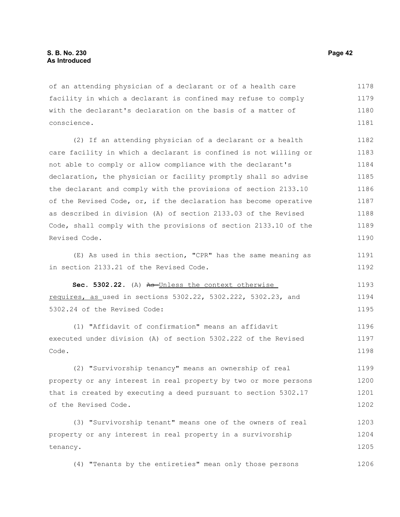of an attending physician of a declarant or of a health care facility in which a declarant is confined may refuse to comply with the declarant's declaration on the basis of a matter of conscience. 1178 1179 1180 1181

(2) If an attending physician of a declarant or a health care facility in which a declarant is confined is not willing or not able to comply or allow compliance with the declarant's declaration, the physician or facility promptly shall so advise the declarant and comply with the provisions of section 2133.10 of the Revised Code, or, if the declaration has become operative as described in division (A) of section 2133.03 of the Revised Code, shall comply with the provisions of section 2133.10 of the Revised Code. 1182 1183 1184 1185 1186 1187 1188 1189 1190

(E) As used in this section, "CPR" has the same meaning as in section 2133.21 of the Revised Code.

Sec. 5302.22. (A) As-Unless the context otherwise requires, as used in sections 5302.22, 5302.222, 5302.23, and 5302.24 of the Revised Code: 1193 1194 1195

(1) "Affidavit of confirmation" means an affidavit executed under division (A) of section 5302.222 of the Revised Code. 1196 1197 1198

(2) "Survivorship tenancy" means an ownership of real property or any interest in real property by two or more persons that is created by executing a deed pursuant to section 5302.17 of the Revised Code. 1199 1200 1201 1202

(3) "Survivorship tenant" means one of the owners of real property or any interest in real property in a survivorship tenancy. 1203 1204 1205

(4) "Tenants by the entireties" mean only those persons 1206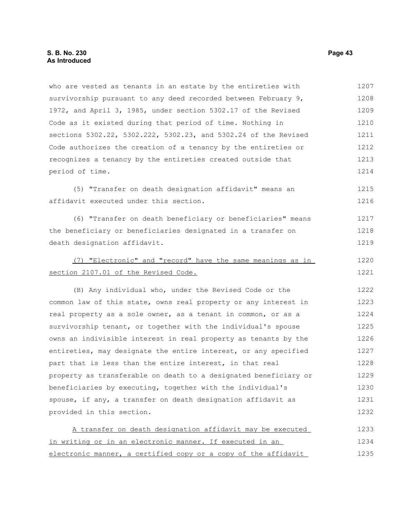provided in this section.

who are vested as tenants in an estate by the entireties with survivorship pursuant to any deed recorded between February 9, 1972, and April 3, 1985, under section 5302.17 of the Revised Code as it existed during that period of time. Nothing in sections 5302.22, 5302.222, 5302.23, and 5302.24 of the Revised Code authorizes the creation of a tenancy by the entireties or recognizes a tenancy by the entireties created outside that period of time. (5) "Transfer on death designation affidavit" means an affidavit executed under this section. (6) "Transfer on death beneficiary or beneficiaries" means the beneficiary or beneficiaries designated in a transfer on death designation affidavit. (7) "Electronic" and "record" have the same meanings as in section 2107.01 of the Revised Code. (B) Any individual who, under the Revised Code or the common law of this state, owns real property or any interest in real property as a sole owner, as a tenant in common, or as a survivorship tenant, or together with the individual's spouse owns an indivisible interest in real property as tenants by the entireties, may designate the entire interest, or any specified part that is less than the entire interest, in that real property as transferable on death to a designated beneficiary or beneficiaries by executing, together with the individual's spouse, if any, a transfer on death designation affidavit as 1207 1208 1209 1210 1211 1212 1213 1214 1215 1216 1217 1218 1219 1220 1221 1222 1223 1224 1225 1226 1227 1228 1229 1230 1231

A transfer on death designation affidavit may be executed in writing or in an electronic manner. If executed in an electronic manner, a certified copy or a copy of the affidavit 1233 1234 1235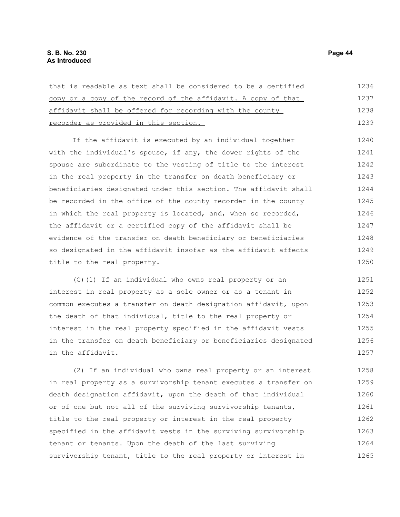| that is readable as text shall be considered to be a certified | 1236 |
|----------------------------------------------------------------|------|
| copy or a copy of the record of the affidavit. A copy of that  | 1237 |
| affidavit shall be offered for recording with the county       | 1238 |
| recorder as provided in this section.                          | 1239 |

If the affidavit is executed by an individual together with the individual's spouse, if any, the dower rights of the spouse are subordinate to the vesting of title to the interest in the real property in the transfer on death beneficiary or beneficiaries designated under this section. The affidavit shall be recorded in the office of the county recorder in the county in which the real property is located, and, when so recorded, the affidavit or a certified copy of the affidavit shall be evidence of the transfer on death beneficiary or beneficiaries so designated in the affidavit insofar as the affidavit affects title to the real property. 1240 1241 1242 1243 1244 1245 1246 1247 1248 1249 1250

(C)(1) If an individual who owns real property or an interest in real property as a sole owner or as a tenant in common executes a transfer on death designation affidavit, upon the death of that individual, title to the real property or interest in the real property specified in the affidavit vests in the transfer on death beneficiary or beneficiaries designated in the affidavit. 1251 1252 1253 1254 1255 1256 1257

(2) If an individual who owns real property or an interest in real property as a survivorship tenant executes a transfer on death designation affidavit, upon the death of that individual or of one but not all of the surviving survivorship tenants, title to the real property or interest in the real property specified in the affidavit vests in the surviving survivorship tenant or tenants. Upon the death of the last surviving survivorship tenant, title to the real property or interest in 1258 1259 1260 1261 1262 1263 1264 1265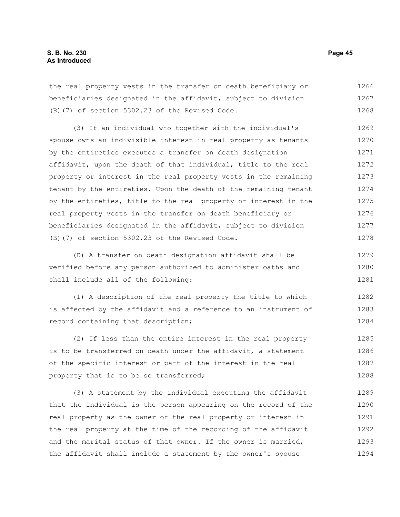the real property vests in the transfer on death beneficiary or beneficiaries designated in the affidavit, subject to division (B)(7) of section 5302.23 of the Revised Code. 1266 1267 1268

(3) If an individual who together with the individual's spouse owns an indivisible interest in real property as tenants by the entireties executes a transfer on death designation affidavit, upon the death of that individual, title to the real property or interest in the real property vests in the remaining tenant by the entireties. Upon the death of the remaining tenant by the entireties, title to the real property or interest in the real property vests in the transfer on death beneficiary or beneficiaries designated in the affidavit, subject to division (B)(7) of section 5302.23 of the Revised Code. 1269 1270 1271 1272 1273 1274 1275 1276 1277 1278

(D) A transfer on death designation affidavit shall be verified before any person authorized to administer oaths and shall include all of the following: 1279 1280 1281

(1) A description of the real property the title to which is affected by the affidavit and a reference to an instrument of record containing that description; 1282 1283 1284

(2) If less than the entire interest in the real property is to be transferred on death under the affidavit, a statement of the specific interest or part of the interest in the real property that is to be so transferred; 1285 1286 1287 1288

(3) A statement by the individual executing the affidavit that the individual is the person appearing on the record of the real property as the owner of the real property or interest in the real property at the time of the recording of the affidavit and the marital status of that owner. If the owner is married, the affidavit shall include a statement by the owner's spouse 1289 1290 1291 1292 1293 1294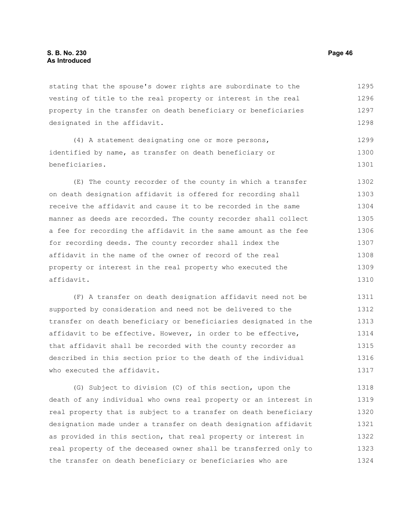stating that the spouse's dower rights are subordinate to the vesting of title to the real property or interest in the real property in the transfer on death beneficiary or beneficiaries designated in the affidavit. 1295 1296 1297 1298

(4) A statement designating one or more persons, identified by name, as transfer on death beneficiary or beneficiaries. 1299 1300 1301

(E) The county recorder of the county in which a transfer on death designation affidavit is offered for recording shall receive the affidavit and cause it to be recorded in the same manner as deeds are recorded. The county recorder shall collect a fee for recording the affidavit in the same amount as the fee for recording deeds. The county recorder shall index the affidavit in the name of the owner of record of the real property or interest in the real property who executed the affidavit. 1302 1303 1304 1305 1306 1307 1308 1309 1310

(F) A transfer on death designation affidavit need not be supported by consideration and need not be delivered to the transfer on death beneficiary or beneficiaries designated in the affidavit to be effective. However, in order to be effective, that affidavit shall be recorded with the county recorder as described in this section prior to the death of the individual who executed the affidavit. 1311 1312 1313 1314 1315 1316 1317

(G) Subject to division (C) of this section, upon the death of any individual who owns real property or an interest in real property that is subject to a transfer on death beneficiary designation made under a transfer on death designation affidavit as provided in this section, that real property or interest in real property of the deceased owner shall be transferred only to the transfer on death beneficiary or beneficiaries who are 1318 1319 1320 1321 1322 1323 1324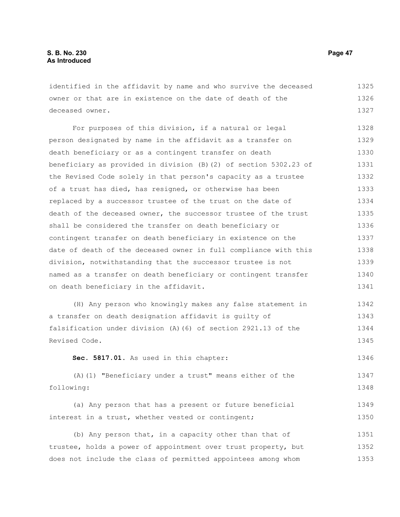identified in the affidavit by name and who survive the deceased owner or that are in existence on the date of death of the deceased owner. 1325 1326 1327

For purposes of this division, if a natural or legal person designated by name in the affidavit as a transfer on death beneficiary or as a contingent transfer on death beneficiary as provided in division (B)(2) of section 5302.23 of the Revised Code solely in that person's capacity as a trustee of a trust has died, has resigned, or otherwise has been replaced by a successor trustee of the trust on the date of death of the deceased owner, the successor trustee of the trust shall be considered the transfer on death beneficiary or contingent transfer on death beneficiary in existence on the date of death of the deceased owner in full compliance with this division, notwithstanding that the successor trustee is not named as a transfer on death beneficiary or contingent transfer on death beneficiary in the affidavit. 1328 1329 1330 1331 1332 1333 1334 1335 1336 1337 1338 1339 1340 1341

(H) Any person who knowingly makes any false statement in a transfer on death designation affidavit is guilty of falsification under division (A)(6) of section 2921.13 of the Revised Code. 1342 1343 1344 1345

**Sec. 5817.01.** As used in this chapter: 1346

(A)(1) "Beneficiary under a trust" means either of the following: 1347 1348

(a) Any person that has a present or future beneficial interest in a trust, whether vested or contingent; 1349 1350

(b) Any person that, in a capacity other than that of trustee, holds a power of appointment over trust property, but does not include the class of permitted appointees among whom 1351 1352 1353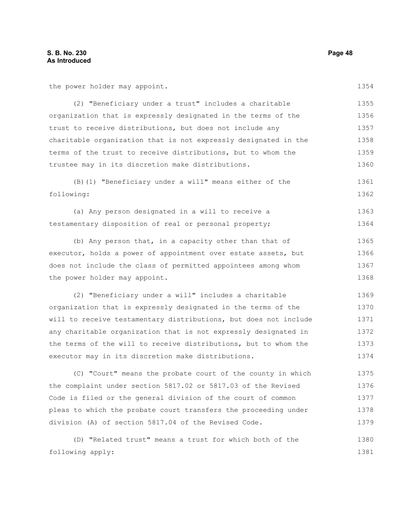the power holder may appoint.

1354

| (2) "Beneficiary under a trust" includes a charitable           | 1355 |
|-----------------------------------------------------------------|------|
| organization that is expressly designated in the terms of the   | 1356 |
| trust to receive distributions, but does not include any        | 1357 |
| charitable organization that is not expressly designated in the | 1358 |
| terms of the trust to receive distributions, but to whom the    | 1359 |
| trustee may in its discretion make distributions.               | 1360 |

(B)(1) "Beneficiary under a will" means either of the following: 1361 1362

(a) Any person designated in a will to receive a testamentary disposition of real or personal property; 1363 1364

(b) Any person that, in a capacity other than that of executor, holds a power of appointment over estate assets, but does not include the class of permitted appointees among whom the power holder may appoint. 1365 1366 1367 1368

(2) "Beneficiary under a will" includes a charitable organization that is expressly designated in the terms of the will to receive testamentary distributions, but does not include any charitable organization that is not expressly designated in the terms of the will to receive distributions, but to whom the executor may in its discretion make distributions. 1369 1370 1371 1372 1373 1374

(C) "Court" means the probate court of the county in which the complaint under section 5817.02 or 5817.03 of the Revised Code is filed or the general division of the court of common pleas to which the probate court transfers the proceeding under division (A) of section 5817.04 of the Revised Code. 1375 1376 1377 1378 1379

(D) "Related trust" means a trust for which both of the following apply: 1380 1381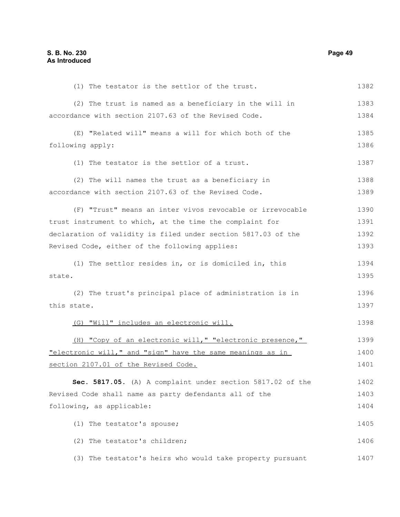(1) The testator is the settlor of the trust. (2) The trust is named as a beneficiary in the will in accordance with section 2107.63 of the Revised Code. (E) "Related will" means a will for which both of the following apply: (1) The testator is the settlor of a trust. (2) The will names the trust as a beneficiary in accordance with section 2107.63 of the Revised Code. (F) "Trust" means an inter vivos revocable or irrevocable trust instrument to which, at the time the complaint for declaration of validity is filed under section 5817.03 of the Revised Code, either of the following applies: (1) The settlor resides in, or is domiciled in, this state. (2) The trust's principal place of administration is in this state. (G) "Will" includes an electronic will. (H) "Copy of an electronic will," "electronic presence," "electronic will," and "sign" have the same meanings as in section 2107.01 of the Revised Code. **Sec. 5817.05.** (A) A complaint under section 5817.02 of the Revised Code shall name as party defendants all of the following, as applicable: (1) The testator's spouse; (2) The testator's children; (3) The testator's heirs who would take property pursuant 1382 1383 1384 1385 1386 1387 1388 1389 1390 1391 1392 1393 1394 1395 1396 1397 1398 1399 1400 1401 1402 1403 1404 1405 1406 1407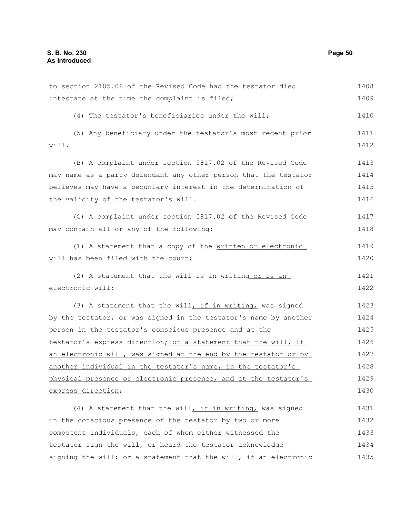to section 2105.06 of the Revised Code had the testator died intestate at the time the complaint is filed; (4) The testator's beneficiaries under the will; (5) Any beneficiary under the testator's most recent prior will. (B) A complaint under section 5817.02 of the Revised Code may name as a party defendant any other person that the testator believes may have a pecuniary interest in the determination of the validity of the testator's will. (C) A complaint under section 5817.02 of the Revised Code may contain all or any of the following: (1) A statement that a copy of the written or electronic will has been filed with the court; (2) A statement that the will is in writing or is an electronic will; (3) A statement that the will, if in writing, was signed by the testator, or was signed in the testator's name by another person in the testator's conscious presence and at the testator's express direction; or a statement that the will, if an electronic will, was signed at the end by the testator or by another individual in the testator's name, in the testator's physical presence or electronic presence, and at the testator's express direction; (4) A statement that the will, if in writing, was signed in the conscious presence of the testator by two or more competent individuals, each of whom either witnessed the testator sign the will, or heard the testator acknowledge signing the will; or a statement that the will, if an electronic 1408 1409 1410 1411 1412 1413 1414 1415 1416 1417 1418 1419 1420 1421 1422 1423 1424 1425 1426 1427 1428 1429 1430 1431 1432 1433 1434 1435